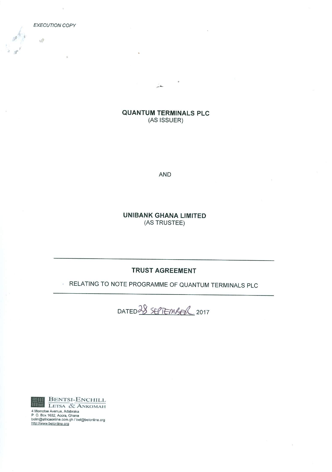i.

 $\sqrt{2}$ 

# **QUANTUM TERMINALS PLC** (AS ISSUER)

 $\sim$ 

**AND** 

**UNIBANK GHANA LIMITED** (AS TRUSTEE)

# **TRUST AGREEMENT**

#### RELATING TO NOTE PROGRAMME OF QUANTUM TERMINALS PLC  $\mathcal{L}_{\rm{max}}$





4 Momete Avenue, Adabraka<br>P. O. Box 1632, Accra, Ghana<br>belm@africaonline.com.gh / bel@belonline.org<br>http://www.belonline.org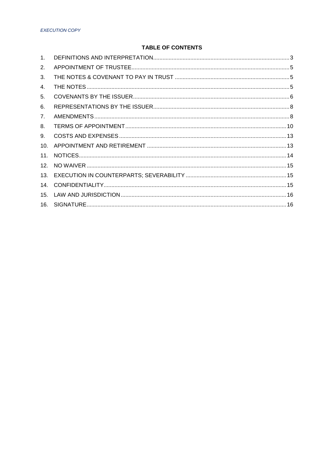# **TABLE OF CONTENTS**

| 1 <sub>1</sub>  |  |
|-----------------|--|
| 2.              |  |
| 3.              |  |
| 4.              |  |
| 5.              |  |
| 6.              |  |
| 7.              |  |
| 8.              |  |
| 9.              |  |
| 10.             |  |
| 11.             |  |
| 12 <sup>7</sup> |  |
| 13.             |  |
| 14.             |  |
| 15.             |  |
| 16.             |  |
|                 |  |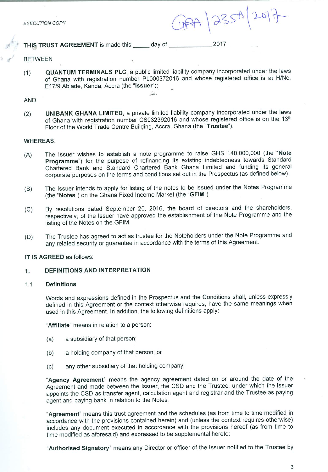$GRA | 235A | 2017$ 

THIS TRUST AGREEMENT is made this \_\_\_\_\_\_ day of \_\_\_\_\_\_\_\_\_\_\_\_\_\_\_\_\_\_\_ 2017

## **BETWEEN**

QUANTUM TERMINALS PLC, a public limited liability company incorporated under the laws  $(1)$ of Ghana with registration number PL000372016 and whose registered office is at H/No. E17/9 Ablade, Kanda, Accra (the "Issuer");

#### **AND**

UNIBANK GHANA LIMITED, a private limited liability company incorporated under the laws  $(2)$ of Ghana with registration number CS032392016 and whose registered office is on the 13th Floor of the World Trade Centre Building, Accra, Ghana (the "Trustee").

#### **WHEREAS:**

- The Issuer wishes to establish a note programme to raise GHS 140,000,000 (the "Note  $(A)$ Programme") for the purpose of refinancing its existing indebtedness towards Standard Chartered Bank and Standard Chartered Bank Ghana Limited and funding its general corporate purposes on the terms and conditions set out in the Prospectus (as defined below).
- The Issuer intends to apply for listing of the notes to be issued under the Notes Programme  $(B)$ (the "Notes") on the Ghana Fixed Income Market (the "GFIM").
- By resolutions dated September 20, 2016, the board of directors and the shareholders,  $(C)$ respectively, of the Issuer have approved the establishment of the Note Programme and the listing of the Notes on the GFIM.
- The Trustee has agreed to act as trustee for the Noteholders under the Note Programme and  $(D)$ any related security or guarantee in accordance with the terms of this Agreement.

## IT IS AGREED as follows:

#### DEFINITIONS AND INTERPRETATION  $1.$

#### **Definitions**  $1.1$

Words and expressions defined in the Prospectus and the Conditions shall, unless expressly defined in this Agreement or the context otherwise requires, have the same meanings when used in this Agreement. In addition, the following definitions apply:

"Affiliate" means in relation to a person:

- a subsidiary of that person;  $(a)$
- a holding company of that person; or  $(b)$
- any other subsidiary of that holding company;  $(c)$

"Agency Agreement" means the agency agreement dated on or around the date of the Agreement and made between the Issuer, the CSD and the Trustee, under which the Issuer appoints the CSD as transfer agent, calculation agent and registrar and the Trustee as paying agent and paying bank in relation to the Notes;

"Agreement" means this trust agreement and the schedules (as from time to time modified in accordance with the provisions contained herein) and (unless the context requires otherwise) includes any document executed in accordance with the provisions hereof (as from time to time modified as aforesaid) and expressed to be supplemental hereto;

"Authorised Signatory" means any Director or officer of the Issuer notified to the Trustee by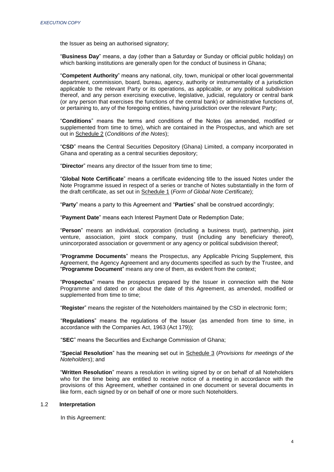the Issuer as being an authorised signatory;

"**Business Day**" means, a day (other than a Saturday or Sunday or official public holiday) on which banking institutions are generally open for the conduct of business in Ghana;

"**Competent Authority**" means any national, city, town, municipal or other local governmental department, commission, board, bureau, agency, authority or instrumentality of a jurisdiction applicable to the relevant Party or its operations, as applicable, or any political subdivision thereof, and any person exercising executive, legislative, judicial, regulatory or central bank (or any person that exercises the functions of the central bank) or administrative functions of, or pertaining to, any of the foregoing entities, having jurisdiction over the relevant Party;

"**Conditions**" means the terms and conditions of the Notes (as amended, modified or supplemented from time to time), which are contained in the Prospectus, and which are set out in Schedule 2 (*Conditions of the Notes*);

"**CSD**" means the Central Securities Depository (Ghana) Limited, a company incorporated in Ghana and operating as a central securities depository;

"**Director**" means any director of the Issuer from time to time;

"**Global Note Certificate**" means a certificate evidencing title to the issued Notes under the Note Programme issued in respect of a series or tranche of Notes substantially in the form of the draft certificate, as set out in Schedule 1 (*Form of Global Note Certificate*);

"**Party**" means a party to this Agreement and "**Parties**" shall be construed accordingly;

"**Payment Date**" means each Interest Payment Date or Redemption Date;

"**Person**" means an individual, corporation (including a business trust), partnership, joint venture, association, joint stock company, trust (including any beneficiary thereof), unincorporated association or government or any agency or political subdivision thereof;

"**Programme Documents**" means the Prospectus, any Applicable Pricing Supplement, this Agreement, the Agency Agreement and any documents specified as such by the Trustee, and "**Programme Document**" means any one of them, as evident from the context;

"**Prospectus**" means the prospectus prepared by the Issuer in connection with the Note Programme and dated on or about the date of this Agreement, as amended, modified or supplemented from time to time;

"**Register**" means the register of the Noteholders maintained by the CSD in electronic form;

"**Regulations**" means the regulations of the Issuer (as amended from time to time, in accordance with the Companies Act, 1963 (Act 179));

"**SEC**" means the Securities and Exchange Commission of Ghana;

"**Special Resolution**" has the meaning set out in Schedule 3 (*Provisions for meetings of the Noteholders*); and

"**Written Resolution**" means a resolution in writing signed by or on behalf of all Noteholders who for the time being are entitled to receive notice of a meeting in accordance with the provisions of this Agreement, whether contained in one document or several documents in like form, each signed by or on behalf of one or more such Noteholders.

#### 1.2 **Interpretation**

In this Agreement: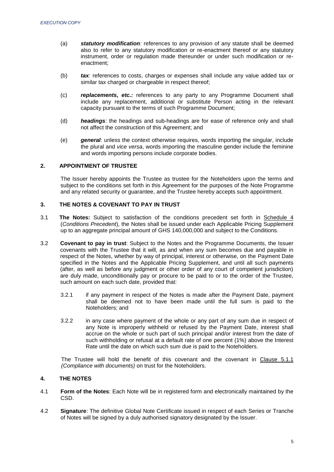- (a) *statutory modification:* references to any provision of any statute shall be deemed also to refer to any statutory modification or re-enactment thereof or any statutory instrument, order or regulation made thereunder or under such modification or reenactment;
- (b) *tax:* references to costs, charges or expenses shall include any value added tax or similar tax charged or chargeable in respect thereof;
- (c) *replacements, etc.:* references to any party to any Programme Document shall include any replacement, additional or substitute Person acting in the relevant capacity pursuant to the terms of such Programme Document;
- (d) *headings*: the headings and sub-headings are for ease of reference only and shall not affect the construction of this Agreement; and
- (e) *general*: unless the context otherwise requires, words importing the singular, include the plural and *vice versa*, words importing the masculine gender include the feminine and words importing persons include corporate bodies.

## <span id="page-4-0"></span>**2. APPOINTMENT OF TRUSTEE**

The Issuer hereby appoints the Trustee as trustee for the Noteholders upon the terms and subject to the conditions set forth in this Agreement for the purposes of the Note Programme and any related security or guarantee, and the Trustee hereby accepts such appointment.

## <span id="page-4-1"></span>**3. THE NOTES & COVENANT TO PAY IN TRUST**

- 3.1 **The Notes:** Subject to satisfaction of the conditions precedent set forth in Schedule 4 (*Conditions Precedent*), the Notes shall be issued under each Applicable Pricing Supplement up to an aggregate principal amount of GHS 140,000,000 and subject to the Conditions.
- 3.2 **Covenant to pay in trust**: Subject to the Notes and the Programme Documents, the Issuer covenants with the Trustee that it will, as and when any sum becomes due and payable in respect of the Notes, whether by way of principal, interest or otherwise, on the Payment Date specified in the Notes and the Applicable Pricing Supplement, and until all such payments (after, as well as before any judgment or other order of any court of competent jurisdiction) are duly made, unconditionally pay or procure to be paid to or to the order of the Trustee, such amount on each such date, provided that:
	- 3.2.1 if any payment in respect of the Notes is made after the Payment Date, payment shall be deemed not to have been made until the full sum is paid to the Noteholders; and
	- 3.2.2 in any case where payment of the whole or any part of any sum due in respect of any Note is improperly withheld or refused by the Payment Date, interest shall accrue on the whole or such part of such principal and/or interest from the date of such withholding or refusal at a default rate of one percent (1%) above the Interest Rate until the date on which such sum due is paid to the Noteholders.

The Trustee will hold the benefit of this covenant and the covenant in Clause 5.1.1 *(Compliance with documents)* on trust for the Noteholders.

## <span id="page-4-2"></span>**4. THE NOTES**

- 4.1 **Form of the Notes**: Each Note will be in registered form and electronically maintained by the CSD.
- 4.2 **Signature**: The definitive Global Note Certificate issued in respect of each Series or Tranche of Notes will be signed by a duly authorised signatory designated by the Issuer.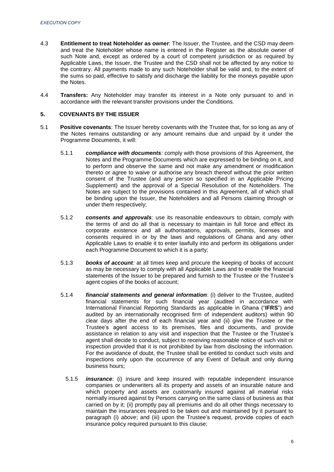- 4.3 **Entitlement to treat Noteholder as owner**: The Issuer, the Trustee, and the CSD may deem and treat the Noteholder whose name is entered in the Register as the absolute owner of such Note and, except as ordered by a court of competent jurisdiction or as required by Applicable Laws, the Issuer, the Trustee and the CSD shall not be affected by any notice to the contrary. All payments made to any such Noteholder shall be valid and, to the extent of the sums so paid, effective to satisfy and discharge the liability for the moneys payable upon the Notes.
- 4.4 **Transfers:** Any Noteholder may transfer its interest in a Note only pursuant to and in accordance with the relevant transfer provisions under the Conditions.

## <span id="page-5-0"></span>**5. COVENANTS BY THE ISSUER**

- 5.1 **Positive covenants**: The Issuer hereby covenants with the Trustee that, for so long as any of the Notes remains outstanding or any amount remains due and unpaid by it under the Programme Documents, it will:
	- 5.1.1 *compliance with documents:* comply with those provisions of this Agreement, the Notes and the Programme Documents which are expressed to be binding on it, and to perform and observe the same and not make any amendment or modification thereto or agree to waive or authorise any breach thereof without the prior written consent of the Trustee (and any person so specified in an Applicable Pricing Supplement) and the approval of a Special Resolution of the Noteholders. The Notes are subject to the provisions contained in this Agreement, all of which shall be binding upon the Issuer, the Noteholders and all Persons claiming through or under them respectively;
	- 5.1.2 *consents and approvals*: use its reasonable endeavours to obtain, comply with the terms of and do all that is necessary to maintain in full force and effect its corporate existence and all authorisations, approvals, permits, licenses and consents required in or by the laws and regulations of Ghana and any other Applicable Laws to enable it to enter lawfully into and perform its obligations under each Programme Document to which it is a party;
	- 5.1.3 *books of account:* at all times keep and procure the keeping of books of account as may be necessary to comply with all Applicable Laws and to enable the financial statements of the Issuer to be prepared and furnish to the Trustee or the Trustee's agent copies of the books of account;
	- 5.1.4 *financial statements and general information*: (i) deliver to the Trustee, audited financial statements for such financial year (audited in accordance with International Financial Reporting Standards as applicable in Ghana ("**IFRS**") and audited by an internationally recognised firm of independent auditors) within 90 clear days after the end of each financial year and (ii) give the Trustee or the Trustee's agent access to its premises, files and documents, and provide assistance in relation to any visit and inspection that the Trustee or the Trustee's agent shall decide to conduct, subject to receiving reasonable notice of such visit or inspection provided that it is not prohibited by law from disclosing the information. For the avoidance of doubt, the Trustee shall be entitled to conduct such visits and inspections only upon the occurrence of any Event of Default and only during business hours;
		- 5.1.5 *insurance*: (i) insure and keep insured with reputable independent insurance companies or underwriters all its property and assets of an insurable nature and which property and assets are customarily insured against all material risks normally insured against by Persons carrying on the same class of business as that carried on by it; (ii) promptly pay all premiums and do all other things necessary to maintain the insurances required to be taken out and maintained by it pursuant to paragraph (i) *above*; and (iii) upon the Trustee's request, provide copies of each insurance policy required pursuant to this clause;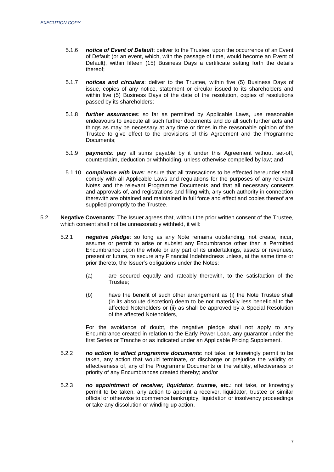- 5.1.6 *notice of Event of Default*: deliver to the Trustee, upon the occurrence of an Event of Default (or an event, which, with the passage of time, would become an Event of Default), within fifteen (15) Business Days a certificate setting forth the details thereof;
- 5.1.7 *notices and circulars*: deliver to the Trustee, within five (5) Business Days of issue, copies of any notice, statement or circular issued to its shareholders and within five (5) Business Days of the date of the resolution, copies of resolutions passed by its shareholders;
- 5.1.8 *further assurances:* so far as permitted by Applicable Laws, use reasonable endeavours to execute all such further documents and do all such further acts and things as may be necessary at any time or times in the reasonable opinion of the Trustee to give effect to the provisions of this Agreement and the Programme Documents;
- 5.1.9 *payments:* pay all sums payable by it under this Agreement without set-off, counterclaim, deduction or withholding, unless otherwise compelled by law; and
- 5.1.10 *compliance with laws:* ensure that all transactions to be effected hereunder shall comply with all Applicable Laws and regulations for the purposes of any relevant Notes and the relevant Programme Documents and that all necessary consents and approvals of, and registrations and filing with, any such authority in connection therewith are obtained and maintained in full force and effect and copies thereof are supplied promptly to the Trustee.
- 5.2 **Negative Covenants**: The Issuer agrees that, without the prior written consent of the Trustee, which consent shall not be unreasonably withheld, it will:
	- 5.2.1 *negative pledge*: so long as any Note remains outstanding, not create, incur, assume or permit to arise or subsist any Encumbrance other than a Permitted Encumbrance upon the whole or any part of its undertakings, assets or revenues, present or future, to secure any Financial Indebtedness unless, at the same time or prior thereto, the Issuer's obligations under the Notes:
		- (a) are secured equally and rateably therewith, to the satisfaction of the Trustee;
		- (b) have the benefit of such other arrangement as (i) the Note Trustee shall (in its absolute discretion) deem to be not materially less beneficial to the affected Noteholders or (ii) as shall be approved by a Special Resolution of the affected Noteholders,

For the avoidance of doubt, the negative pledge shall not apply to any Encumbrance created in relation to the Early Power Loan, any guarantor under the first Series or Tranche or as indicated under an Applicable Pricing Supplement.

- 5.2.2 *no action to affect programme documents*: not take, or knowingly permit to be taken, any action that would terminate, or discharge or prejudice the validity or effectiveness of, any of the Programme Documents or the validity, effectiveness or priority of any Encumbrances created thereby; and/or
- 5.2.3 *no appointment of receiver, liquidator, trustee, etc.*: not take, or knowingly permit to be taken, any action to appoint a receiver, liquidator, trustee or similar official or otherwise to commence bankruptcy, liquidation or insolvency proceedings or take any dissolution or winding-up action.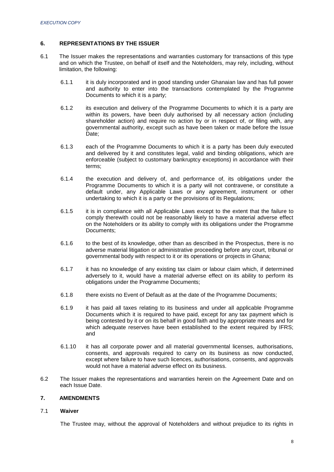## <span id="page-7-0"></span>**6. REPRESENTATIONS BY THE ISSUER**

- 6.1 The Issuer makes the representations and warranties customary for transactions of this type and on which the Trustee, on behalf of itself and the Noteholders, may rely, including, without limitation, the following:
	- 6.1.1 it is duly incorporated and in good standing under Ghanaian law and has full power and authority to enter into the transactions contemplated by the Programme Documents to which it is a party;
	- 6.1.2 its execution and delivery of the Programme Documents to which it is a party are within its powers, have been duly authorised by all necessary action (including shareholder action) and require no action by or in respect of, or filing with, any governmental authority, except such as have been taken or made before the Issue Date;
	- 6.1.3 each of the Programme Documents to which it is a party has been duly executed and delivered by it and constitutes legal, valid and binding obligations, which are enforceable (subject to customary bankruptcy exceptions) in accordance with their terms;
	- 6.1.4 the execution and delivery of, and performance of, its obligations under the Programme Documents to which it is a party will not contravene, or constitute a default under, any Applicable Laws or any agreement, instrument or other undertaking to which it is a party or the provisions of its Regulations;
	- 6.1.5 it is in compliance with all Applicable Laws except to the extent that the failure to comply therewith could not be reasonably likely to have a material adverse effect on the Noteholders or its ability to comply with its obligations under the Programme Documents;
	- 6.1.6 to the best of its knowledge, other than as described in the Prospectus, there is no adverse material litigation or administrative proceeding before any court, tribunal or governmental body with respect to it or its operations or projects in Ghana;
	- 6.1.7 it has no knowledge of any existing tax claim or labour claim which, if determined adversely to it, would have a material adverse effect on its ability to perform its obligations under the Programme Documents;
	- 6.1.8 there exists no Event of Default as at the date of the Programme Documents;
	- 6.1.9 it has paid all taxes relating to its business and under all applicable Programme Documents which it is required to have paid, except for any tax payment which is being contested by it or on its behalf in good faith and by appropriate means and for which adequate reserves have been established to the extent required by IFRS; and
	- 6.1.10 it has all corporate power and all material governmental licenses, authorisations, consents, and approvals required to carry on its business as now conducted, except where failure to have such licences, authorisations, consents, and approvals would not have a material adverse effect on its business.
- 6.2 The Issuer makes the representations and warranties herein on the Agreement Date and on each Issue Date.

## <span id="page-7-1"></span>**7. AMENDMENTS**

#### 7.1 **Waiver**

The Trustee may, without the approval of Noteholders and without prejudice to its rights in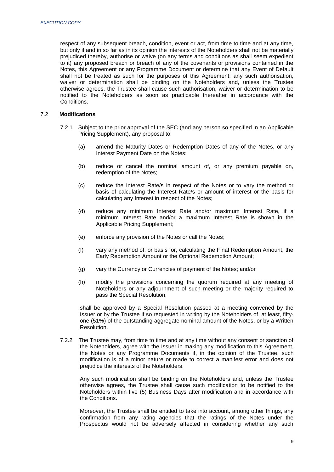respect of any subsequent breach, condition, event or act, from time to time and at any time, but only if and in so far as in its opinion the interests of the Noteholders shall not be materially prejudiced thereby, authorise or waive (on any terms and conditions as shall seem expedient to it) any proposed breach or breach of any of the covenants or provisions contained in the Notes, this Agreement or any Programme Document or determine that any Event of Default shall not be treated as such for the purposes of this Agreement; any such authorisation, waiver or determination shall be binding on the Noteholders and, unless the Trustee otherwise agrees, the Trustee shall cause such authorisation, waiver or determination to be notified to the Noteholders as soon as practicable thereafter in accordance with the Conditions.

#### 7.2 **Modifications**

- 7.2.1 Subject to the prior approval of the SEC (and any person so specified in an Applicable Pricing Supplement), any proposal to:
	- (a) amend the Maturity Dates or Redemption Dates of any of the Notes, or any Interest Payment Date on the Notes;
	- (b) reduce or cancel the nominal amount of, or any premium payable on, redemption of the Notes;
	- (c) reduce the Interest Rate/s in respect of the Notes or to vary the method or basis of calculating the Interest Rate/s or amount of interest or the basis for calculating any Interest in respect of the Notes;
	- (d) reduce any minimum Interest Rate and/or maximum Interest Rate, if a minimum Interest Rate and/or a maximum Interest Rate is shown in the Applicable Pricing Supplement;
	- (e) enforce any provision of the Notes or call the Notes;
	- (f) vary any method of, or basis for, calculating the Final Redemption Amount, the Early Redemption Amount or the Optional Redemption Amount;
	- (g) vary the Currency or Currencies of payment of the Notes; and/or
	- (h) modify the provisions concerning the quorum required at any meeting of Noteholders or any adjournment of such meeting or the majority required to pass the Special Resolution,

shall be approved by a Special Resolution passed at a meeting convened by the Issuer or by the Trustee if so requested in writing by the Noteholders of, at least, fiftyone (51%) of the outstanding aggregate nominal amount of the Notes, or by a Written Resolution.

7.2.2 The Trustee may, from time to time and at any time without any consent or sanction of the Noteholders, agree with the Issuer in making any modification to this Agreement, the Notes or any Programme Documents if, in the opinion of the Trustee, such modification is of a minor nature or made to correct a manifest error and does not prejudice the interests of the Noteholders.

Any such modification shall be binding on the Noteholders and, unless the Trustee otherwise agrees, the Trustee shall cause such modification to be notified to the Noteholders within five (5) Business Days after modification and in accordance with the Conditions.

Moreover, the Trustee shall be entitled to take into account, among other things, any confirmation from any rating agencies that the ratings of the Notes under the Prospectus would not be adversely affected in considering whether any such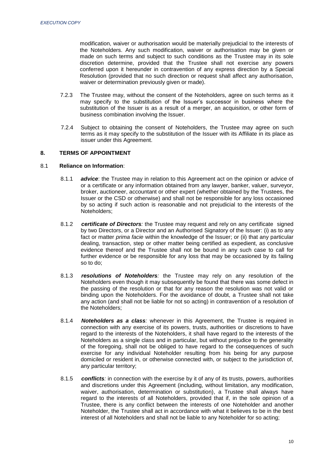modification, waiver or authorisation would be materially prejudicial to the interests of the Noteholders. Any such modification, waiver or authorisation may be given or made on such terms and subject to such conditions as the Trustee may in its sole discretion determine, provided that the Trustee shall not exercise any powers conferred upon it hereunder in contravention of any express direction by a Special Resolution (provided that no such direction or request shall affect any authorisation, waiver or determination previously given or made).

- 7.2.3 The Trustee may, without the consent of the Noteholders, agree on such terms as it may specify to the substitution of the Issuer's successor in business where the substitution of the Issuer is as a result of a merger, an acquisition, or other form of business combination involving the Issuer.
- 7.2.4 Subject to obtaining the consent of Noteholders, the Trustee may agree on such terms as it may specify to the substitution of the Issuer with its Affiliate in its place as issuer under this Agreement.

## <span id="page-9-0"></span>**8. TERMS OF APPOINTMENT**

#### 8.1 **Reliance on Information**:

- 8.1.1 *advice*: the Trustee may in relation to this Agreement act on the opinion or advice of or a certificate or any information obtained from any lawyer, banker, valuer, surveyor, broker, auctioneer, accountant or other expert (whether obtained by the Trustees, the Issuer or the CSD or otherwise) and shall not be responsible for any loss occasioned by so acting if such action is reasonable and not prejudicial to the interests of the Noteholders;
- 8.1.2 *certificate of Directors:* the Trustee may request and rely on any certificate signed by two Directors, or a Director and an Authorised Signatory of the Issuer: (i) as to any fact or matter *prima facie* within the knowledge of the Issuer; or (ii) that any particular dealing, transaction, step or other matter being certified as expedient, as conclusive evidence thereof and the Trustee shall not be bound in any such case to call for further evidence or be responsible for any loss that may be occasioned by its failing so to do;
- 8.1.3 *resolutions of Noteholders:* the Trustee may rely on any resolution of the Noteholders even though it may subsequently be found that there was some defect in the passing of the resolution or that for any reason the resolution was not valid or binding upon the Noteholders. For the avoidance of doubt, a Trustee shall not take any action (and shall not be liable for not so acting) in contravention of a resolution of the Noteholders;
- 8.1.4 *Noteholders as a class:* whenever in this Agreement, the Trustee is required in connection with any exercise of its powers, trusts, authorities or discretions to have regard to the interests of the Noteholders, it shall have regard to the interests of the Noteholders as a single class and in particular, but without prejudice to the generality of the foregoing, shall not be obliged to have regard to the consequences of such exercise for any individual Noteholder resulting from his being for any purpose domiciled or resident in, or otherwise connected with, or subject to the jurisdiction of, any particular territory;
- 8.1.5 *conflicts:* in connection with the exercise by it of any of its trusts, powers, authorities and discretions under this Agreement (including, without limitation, any modification, waiver, authorisation, determination or substitution), a Trustee shall always have regard to the interests of all Noteholders, provided that if, in the sole opinion of a Trustee, there is any conflict between the interests of one Noteholder and another Noteholder, the Trustee shall act in accordance with what it believes to be in the best interest of all Noteholders and shall not be liable to any Noteholder for so acting;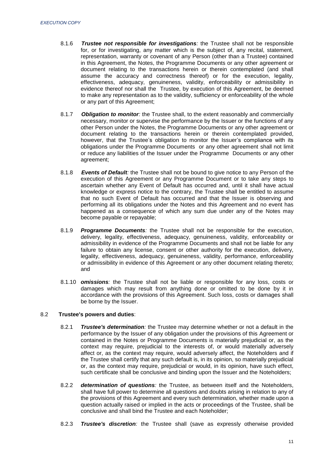- 8.1.6 *Trustee not responsible for investigations:* the Trustee shall not be responsible for, or for investigating, any matter which is the subject of, any recital, statement, representation, warranty or covenant of any Person (other than a Trustee) contained in this Agreement, the Notes, the Programme Documents or any other agreement or document relating to the transactions herein or therein contemplated (and shall assume the accuracy and correctness thereof) or for the execution, legality, effectiveness, adequacy, genuineness, validity, enforceability or admissibility in evidence thereof nor shall the Trustee, by execution of this Agreement, be deemed to make any representation as to the validity, sufficiency or enforceability of the whole or any part of this Agreement;
- 8.1.7 *Obligation to monitor:* the Trustee shall, to the extent reasonably and commercially necessary, monitor or supervise the performance by the Issuer or the functions of any other Person under the Notes, the Programme Documents or any other agreement or document relating to the transactions herein or therein contemplated provided, however, that the Trustee's obligation to monitor the Issuer's compliance with its obligations under the Programme Documents or any other agreement shall not limit or reduce any liabilities of the Issuer under the Programme Documents or any other agreement;
- 8.1.8 *Events of Default:* the Trustee shall not be bound to give notice to any Person of the execution of this Agreement or any Programme Document or to take any steps to ascertain whether any Event of Default has occurred and, until it shall have actual knowledge or express notice to the contrary, the Trustee shall be entitled to assume that no such Event of Default has occurred and that the Issuer is observing and performing all its obligations under the Notes and this Agreement and no event has happened as a consequence of which any sum due under any of the Notes may become payable or repayable;
- 8.1.9 *Programme Documents:* the Trustee shall not be responsible for the execution, delivery, legality, effectiveness, adequacy, genuineness, validity, enforceability or admissibility in evidence of the Programme Documents and shall not be liable for any failure to obtain any license, consent or other authority for the execution, delivery, legality, effectiveness, adequacy, genuineness, validity, performance, enforceability or admissibility in evidence of this Agreement or any other document relating thereto; and
- 8.1.10 *omissions:* the Trustee shall not be liable or responsible for any loss, costs or damages which may result from anything done or omitted to be done by it in accordance with the provisions of this Agreement. Such loss, costs or damages shall be borne by the Issuer.

#### 8.2 **Trustee's powers and duties**:

- 8.2.1 *Trustee's determination:* the Trustee may determine whether or not a default in the performance by the Issuer of any obligation under the provisions of this Agreement or contained in the Notes or Programme Documents is materially prejudicial or, as the context may require, prejudicial to the interests of, or would materially adversely affect or, as the context may require, would adversely affect, the Noteholders and if the Trustee shall certify that any such default is, in its opinion, so materially prejudicial or, as the context may require, prejudicial or would, in its opinion, have such effect, such certificate shall be conclusive and binding upon the Issuer and the Noteholders;
- 8.2.2 *determination of questions:* the Trustee, as between itself and the Noteholders, shall have full power to determine all questions and doubts arising in relation to any of the provisions of this Agreement and every such determination, whether made upon a question actually raised or implied in the acts or proceedings of the Trustee, shall be conclusive and shall bind the Trustee and each Noteholder;
- 8.2.3 *Trustee's discretion:* the Trustee shall (save as expressly otherwise provided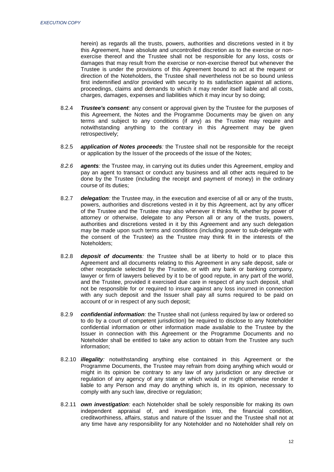herein) as regards all the trusts, powers, authorities and discretions vested in it by this Agreement, have absolute and uncontrolled discretion as to the exercise or nonexercise thereof and the Trustee shall not be responsible for any loss, costs or damages that may result from the exercise or non-exercise thereof but whenever the Trustee is under the provisions of this Agreement bound to act at the request or direction of the Noteholders, the Trustee shall nevertheless not be so bound unless first indemnified and/or provided with security to its satisfaction against all actions, proceedings, claims and demands to which it may render itself liable and all costs, charges, damages, expenses and liabilities which it may incur by so doing;

- 8.2.4 *Trustee's consent:* any consent or approval given by the Trustee for the purposes of this Agreement, the Notes and the Programme Documents may be given on any terms and subject to any conditions (if any) as the Trustee may require and notwithstanding anything to the contrary in this Agreement may be given retrospectively;
- 8.2.5 *application of Notes proceeds:* the Trustee shall not be responsible for the receipt or application by the Issuer of the proceeds of the issue of the Notes;
- *8.2.6 agents:* the Trustee may, in carrying out its duties under this Agreement, employ and pay an agent to transact or conduct any business and all other acts required to be done by the Trustee (including the receipt and payment of money) in the ordinary course of its duties;
- 8.2.7 *delegation:* the Trustee may, in the execution and exercise of all or any of the trusts, powers, authorities and discretions vested in it by this Agreement, act by any officer of the Trustee and the Trustee may also whenever it thinks fit, whether by power of attorney or otherwise, delegate to any Person all or any of the trusts, powers, authorities and discretions vested in it by this Agreement and any such delegation may be made upon such terms and conditions (including power to sub-delegate with the consent of the Trustee) as the Trustee may think fit in the interests of the Noteholders;
- 8.2.8 *deposit of documents:* the Trustee shall be at liberty to hold or to place this Agreement and all documents relating to this Agreement in any safe deposit, safe or other receptacle selected by the Trustee, or with any bank or banking company, lawyer or firm of lawyers believed by it to be of good repute, in any part of the world, and the Trustee, provided it exercised due care in respect of any such deposit, shall not be responsible for or required to insure against any loss incurred in connection with any such deposit and the Issuer shall pay all sums required to be paid on account of or in respect of any such deposit;
- 8.2.9 *confidential information:* the Trustee shall not (unless required by law or ordered so to do by a court of competent jurisdiction) be required to disclose to any Noteholder confidential information or other information made available to the Trustee by the Issuer in connection with this Agreement or the Programme Documents and no Noteholder shall be entitled to take any action to obtain from the Trustee any such information;
- 8.2.10 *illegality:* notwithstanding anything else contained in this Agreement or the Programme Documents, the Trustee may refrain from doing anything which would or might in its opinion be contrary to any law of any jurisdiction or any directive or regulation of any agency of any state or which would or might otherwise render it liable to any Person and may do anything which is, in its opinion, necessary to comply with any such law, directive or regulation;
- 8.2.11 *own investigation:* each Noteholder shall be solely responsible for making its own independent appraisal of, and investigation into, the financial condition, creditworthiness, affairs, status and nature of the Issuer and the Trustee shall not at any time have any responsibility for any Noteholder and no Noteholder shall rely on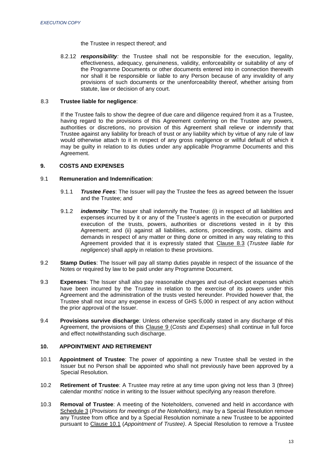#### the Trustee in respect thereof; and

8.2.12 *responsibility:* the Trustee shall not be responsible for the execution, legality, effectiveness, adequacy, genuineness, validity, enforceability or suitability of any of the Programme Documents or other documents entered into in connection therewith nor shall it be responsible or liable to any Person because of any invalidity of any provisions of such documents or the unenforceability thereof, whether arising from statute, law or decision of any court.

## 8.3 **Trustee liable for negligence**:

If the Trustee fails to show the degree of due care and diligence required from it as a Trustee, having regard to the provisions of this Agreement conferring on the Trustee any powers, authorities or discretions, no provision of this Agreement shall relieve or indemnify that Trustee against any liability for breach of trust or any liability which by virtue of any rule of law would otherwise attach to it in respect of any gross negligence or willful default of which it may be guilty in relation to its duties under any applicable Programme Documents and this Agreement.

#### <span id="page-12-0"></span>**9. COSTS AND EXPENSES**

#### 9.1 **Remuneration and Indemnification**:

- 9.1.1 *Trustee Fees*: The Issuer will pay the Trustee the fees as agreed between the Issuer and the Trustee; and
- 9.1.2 *indemnity*: The Issuer shall indemnify the Trustee: (i) in respect of all liabilities and expenses incurred by it or any of the Trustee's agents in the execution or purported execution of the trusts, powers, authorities or discretions vested in it by this Agreement; and (ii) against all liabilities, actions, proceedings, costs, claims and demands in respect of any matter or thing done or omitted in any way relating to this Agreement provided that it is expressly stated that Clause 8.3 (*Trustee liable for negligence*) shall apply in relation to these provisions.
- 9.2 **Stamp Duties**: The Issuer will pay all stamp duties payable in respect of the issuance of the Notes or required by law to be paid under any Programme Document.
- 9.3 **Expenses**: The Issuer shall also pay reasonable charges and out-of-pocket expenses which have been incurred by the Trustee in relation to the exercise of its powers under this Agreement and the administration of the trusts vested hereunder. Provided however that, the Trustee shall not incur any expense in excess of GHS 5,000 in respect of any action without the prior approval of the Issuer.
- 9.4 **Provisions survive discharge**: Unless otherwise specifically stated in any discharge of this Agreement, the provisions of this Clause 9 (*Costs and Expenses*) shall continue in full force and effect notwithstanding such discharge.

## <span id="page-12-1"></span>**10. APPOINTMENT AND RETIREMENT**

- 10.1 **Appointment of Trustee**: The power of appointing a new Trustee shall be vested in the Issuer but no Person shall be appointed who shall not previously have been approved by a Special Resolution.
- 10.2 **Retirement of Trustee**: A Trustee may retire at any time upon giving not less than 3 (three) calendar months' notice in writing to the Issuer without specifying any reason therefore*.*
- 10.3 **Removal of Trustee**: A meeting of the Noteholders, convened and held in accordance with Schedule 3 (*Provisions for meetings of the Noteholders),* may by a Special Resolution remove any Trustee from office and by a Special Resolution nominate a new Trustee to be appointed pursuant to Clause 10.1 (*Appointment of Trustee)*. A Special Resolution to remove a Trustee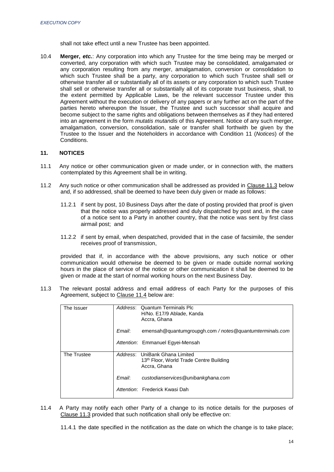shall not take effect until a new Trustee has been appointed.

10.4 **Merger,** *etc.*: Any corporation into which any Trustee for the time being may be merged or converted, any corporation with which such Trustee may be consolidated, amalgamated or any corporation resulting from any merger, amalgamation, conversion or consolidation to which such Trustee shall be a party, any corporation to which such Trustee shall sell or otherwise transfer all or substantially all of its assets or any corporation to which such Trustee shall sell or otherwise transfer all or substantially all of its corporate trust business, shall, to the extent permitted by Applicable Laws, be the relevant successor Trustee under this Agreement without the execution or delivery of any papers or any further act on the part of the parties hereto whereupon the Issuer, the Trustee and such successor shall acquire and become subject to the same rights and obligations between themselves as if they had entered into an agreement in the form *mutatis mutandis* of this Agreement. Notice of any such merger, amalgamation, conversion, consolidation, sale or transfer shall forthwith be given by the Trustee to the Issuer and the Noteholders in accordance with Condition 11 (*Notices*) of the **Conditions** 

## <span id="page-13-0"></span>**11. NOTICES**

- 11.1 Any notice or other communication given or made under, or in connection with, the matters contemplated by this Agreement shall be in writing.
- 11.2 Any such notice or other communication shall be addressed as provided in Clause 11.3 below and, if so addressed, shall be deemed to have been duly given or made as follows:
	- 11.2.1 if sent by post, 10 Business Days after the date of posting provided that proof is given that the notice was properly addressed and duly dispatched by post and, in the case of a notice sent to a Party in another country, that the notice was sent by first class airmail post; and
	- 11.2.2 if sent by email, when despatched, provided that in the case of facsimile, the sender receives proof of transmission,

provided that if, in accordance with the above provisions, any such notice or other communication would otherwise be deemed to be given or made outside normal working hours in the place of service of the notice or other communication it shall be deemed to be given or made at the start of normal working hours on the next Business Day.

11.3 The relevant postal address and email address of each Party for the purposes of this Agreement, subject to Clause 11.4 below are:

| The Issuer  |          | Address: Quantum Terminals Plc<br>H/No. E17/9 Ablade, Kanda<br>Accra, Ghana      |
|-------------|----------|----------------------------------------------------------------------------------|
|             | Email:   | emensah@quantumgroupgh.com / notes@quantumterminals.com                          |
|             |          | Attention: Emmanuel Egyei-Mensah                                                 |
| The Trustee | Address: | UniBank Ghana Limited<br>13th Floor, World Trade Centre Building<br>Accra, Ghana |
|             | Email:   | custodianservices@unibankghana.com                                               |
|             |          | Attention: Frederick Kwasi Dah                                                   |

11.4 A Party may notify each other Party of a change to its notice details for the purposes of Clause 11.3 provided that such notification shall only be effective on:

11.4.1 the date specified in the notification as the date on which the change is to take place;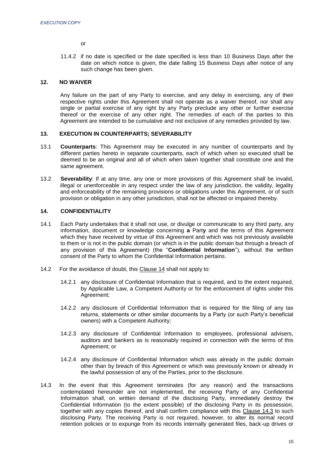or

11.4.2 if no date is specified or the date specified is less than 10 Business Days after the date on which notice is given, the date falling 15 Business Days after notice of any such change has been given.

## <span id="page-14-0"></span>**12. NO WAIVER**

Any failure on the part of any Party to exercise, and any delay in exercising, any of their respective rights under this Agreement shall not operate as a waiver thereof, nor shall any single or partial exercise of any right by any Party preclude any other or further exercise thereof or the exercise of any other right. The remedies of each of the parties to this Agreement are intended to be cumulative and not exclusive of any remedies provided by law.

## <span id="page-14-1"></span>**13. EXECUTION IN COUNTERPARTS; SEVERABILITY**

- 13.1 **Counterparts**: This Agreement may be executed in any number of counterparts and by different parties hereto in separate counterparts, each of which when so executed shall be deemed to be an original and all of which when taken together shall constitute one and the same agreement.
- 13.2 **Severability**: If at any time, any one or more provisions of this Agreement shall be invalid, illegal or unenforceable in any respect under the law of any jurisdiction, the validity, legality and enforceability of the remaining provisions or obligations under this Agreement, or of such provision or obligation in any other jurisdiction, shall not be affected or impaired thereby.

## <span id="page-14-2"></span>**14. CONFIDENTIALITY**

- 14.1 Each Party undertakes that it shall not use, or divulge or communicate to any third party, any information, document or knowledge concerning **a** Part**y** and the terms of this Agreement which they have received by virtue of this Agreement and which was not previously available to them or is not in the public domain (or which is in the public domain but through a breach of any provision of this Agreement) (the "**Confidential Information**"), without the written consent of the Party to whom the Confidential Information pertains.
- 14.2 For the avoidance of doubt, this Clause 14 shall not apply to:
	- 14.2.1 any disclosure of Confidential Information that is required, and to the extent required, by Applicable Law, a Competent Authority or for the enforcement of rights under this Agreement;
	- 14.2.2 any disclosure of Confidential Information that is required for the filing of any tax returns, statements or other similar documents by a Party (or such Party's beneficial owners) with a Competent Authority;
	- 14.2.3 any disclosure of Confidential Information to employees, professional advisers, auditors and bankers as is reasonably required in connection with the terms of this Agreement; or
	- 14.2.4 any disclosure of Confidential Information which was already in the public domain other than by breach of this Agreement or which was previously known or already in the lawful possession of any of the Parties, prior to the disclosure.
- 14.3 In the event that this Agreement terminates (for any reason) and the transactions contemplated hereunder are not implemented, the receiving Party of any Confidential Information shall, on written demand of the disclosing Party, immediately destroy the Confidential Information (to the extent possible) of the disclosing Party in its possession, together with any copies thereof, and shall confirm compliance with this Clause 14.3 to such disclosing Party. The receiving Party is not required, however, to alter its normal record retention policies or to expunge from its records internally generated files, back-up drives or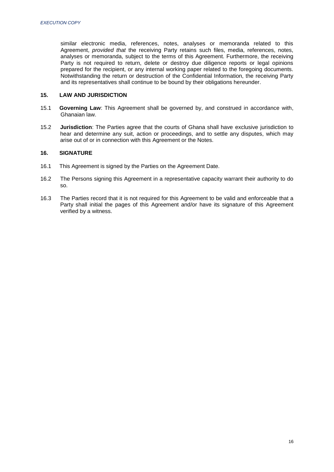similar electronic media, references, notes, analyses or memoranda related to this Agreement, *provided that* the receiving Party retains such files, media, references, notes, analyses or memoranda, subject to the terms of this Agreement. Furthermore, the receiving Party is not required to return, delete or destroy due diligence reports or legal opinions prepared for the recipient, or any internal working paper related to the foregoing documents. Notwithstanding the return or destruction of the Confidential Information, the receiving Party and its representatives shall continue to be bound by their obligations hereunder.

## <span id="page-15-0"></span>**15. LAW AND JURISDICTION**

- 15.1 **Governing Law**: This Agreement shall be governed by, and construed in accordance with, Ghanaian law.
- 15.2 **Jurisdiction**: The Parties agree that the courts of Ghana shall have exclusive jurisdiction to hear and determine any suit, action or proceedings, and to settle any disputes, which may arise out of or in connection with this Agreement or the Notes.

## <span id="page-15-1"></span>**16. SIGNATURE**

- 16.1 This Agreement is signed by the Parties on the Agreement Date.
- 16.2 The Persons signing this Agreement in a representative capacity warrant their authority to do so.
- 16.3 The Parties record that it is not required for this Agreement to be valid and enforceable that a Party shall initial the pages of this Agreement and/or have its signature of this Agreement verified by a witness.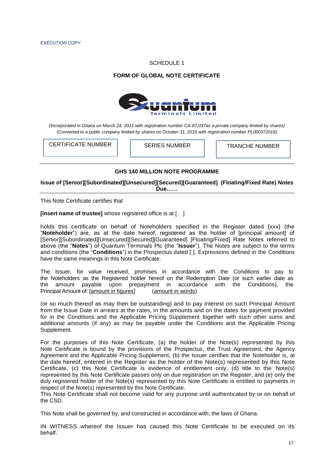#### SCHEDULE 1

## **FORM OF GLOBAL NOTE CERTIFICATE**



*(Incorporated in Ghana on March 24, 2011 with registration number CA-87,037as a private company limited by shares) (Converted to a public company limited by shares on October 31, 2016 with registration number PL000372016)*

CERTIFICATE NUMBER | SERIES NUMBER | TRANCHE NUMBER

#### **GHS 140 MILLION NOTE PROGRAMME**

**Issue of [Senior][Subordinated][Unsecured][Secured][Guaranteed] (Floating/Fixed Rate) Notes Due……**

This Note Certificate certifies that

**[insert name of trustee]** whose registered office is at [ ]

holds this certificate on behalf of Noteholders specified in the Register dated {xxx} (the "**Noteholder**") are, as at the date hereof, registered as the holder of [principal amount] of [Senior][Subordinated][Unsecured][Secured][Guaranteed] [Floating/Fixed] Rate Notes referred to above (the "**Notes**") of Quantum Terminals Plc (the "**Issuer**"). The Notes are subject to the terms and conditions (the "**Conditions**") in the Prospectus dated [ ]. Expressions defined in the Conditions have the same meanings in this Note Certificate.

The Issuer, for value received, promises in accordance with the Conditions to pay to the Noteholders as the Registered holder hereof on the Redemption Date (or such earlier date as the amount payable upon prepayment in accordance with the Conditions), the Principal Amount of: [amount in figures] (amount in words)

(or so much thereof as may then be outstanding) and to pay interest on such Principal Amount from the Issue Date in arrears at the rates, in the amounts and on the dates for payment provided for in the Conditions and the Applicable Pricing Supplement together with such other sums and additional amounts (if any) as may be payable under the Conditions and the Applicable Pricing Supplement.

For the purposes of this Note Certificate, (a) the holder of the Note(s) represented by this Note Certificate is bound by the provisions of the Prospectus, the Trust Agreement, the Agency Agreement and the Applicable Pricing Supplement, (b) the Issuer certifies that the Noteholder is, at the date hereof, entered in the Register as the holder of the Note(s) represented by this Note Certificate, (c) this Note Certificate is evidence of entitlement only, (d) title to the Note(s) represented by this Note Certificate passes only on due registration on the Register, and (e) only the duly registered holder of the Note(s) represented by this Note Certificate is entitled to payments in respect of the Note(s) represented by this Note Certificate.

This Note Certificate shall not become valid for any purpose until authenticated by or on behalf of the CSD.

This Note shall be governed by, and constructed in accordance with, the laws of Ghana.

IN WITNESS whereof the Issuer has caused this Note Certificate to be executed on its behalf.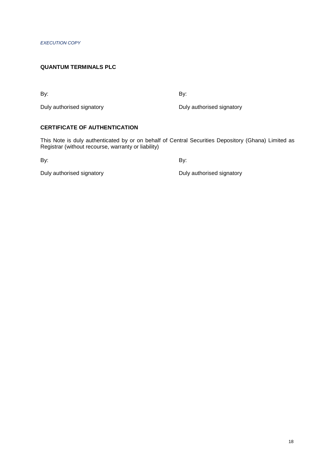## **QUANTUM TERMINALS PLC**

By: By:

Duly authorised signatory **Duly authorised signatory Duly authorised signatory** 

# **CERTIFICATE OF AUTHENTICATION**

This Note is duly authenticated by or on behalf of Central Securities Depository (Ghana) Limited as Registrar (without recourse, warranty or liability)

By: By:

Duly authorised signatory **Duly authorised signatory Duly authorised signatory**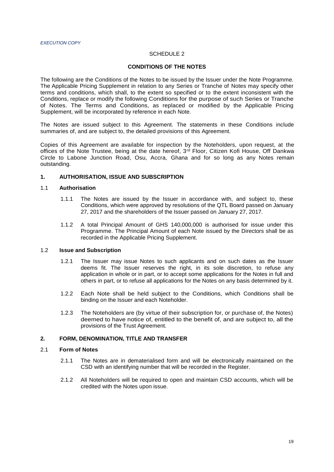## SCHEDULE 2

#### **CONDITIONS OF THE NOTES**

The following are the Conditions of the Notes to be issued by the Issuer under the Note Programme. The Applicable Pricing Supplement in relation to any Series or Tranche of Notes may specify other terms and conditions, which shall, to the extent so specified or to the extent inconsistent with the Conditions, replace or modify the following Conditions for the purpose of such Series or Tranche of Notes. The Terms and Conditions, as replaced or modified by the Applicable Pricing Supplement, will be incorporated by reference in each Note.

The Notes are issued subject to this Agreement. The statements in these Conditions include summaries of, and are subject to, the detailed provisions of this Agreement.

Copies of this Agreement are available for inspection by the Noteholders, upon request, at the offices of the Note Trustee, being at the date hereof, 3<sup>rd</sup> Floor, Citizen Kofi House, Off Dankwa Circle to Labone Junction Road, Osu, Accra, Ghana and for so long as any Notes remain outstanding.

## **1. AUTHORISATION, ISSUE AND SUBSCRIPTION**

## 1.1 **Authorisation**

- 1.1.1 The Notes are issued by the Issuer in accordance with, and subject to, these Conditions, which were approved by resolutions of the QTL Board passed on January 27, 2017 and the shareholders of the Issuer passed on January 27, 2017.
- 1.1.2 A total Principal Amount of GHS 140,000,000 is authorised for issue under this Programme. The Principal Amount of each Note issued by the Directors shall be as recorded in the Applicable Pricing Supplement.

#### 1.2 **Issue and Subscription**

- 1.2.1 The Issuer may issue Notes to such applicants and on such dates as the Issuer deems fit. The Issuer reserves the right, in its sole discretion, to refuse any application in whole or in part, or to accept some applications for the Notes in full and others in part, or to refuse all applications for the Notes on any basis determined by it.
- 1.2.2 Each Note shall be held subject to the Conditions, which Conditions shall be binding on the Issuer and each Noteholder.
- 1.2.3 The Noteholders are (by virtue of their subscription for, or purchase of, the Notes) deemed to have notice of, entitled to the benefit of, and are subject to, all the provisions of the Trust Agreement.

#### **2. FORM, DENOMINATION, TITLE AND TRANSFER**

#### 2.1 **Form of Notes**

- 2.1.1 The Notes are in dematerialised form and will be electronically maintained on the CSD with an identifying number that will be recorded in the Register.
- 2.1.2 All Noteholders will be required to open and maintain CSD accounts, which will be credited with the Notes upon issue.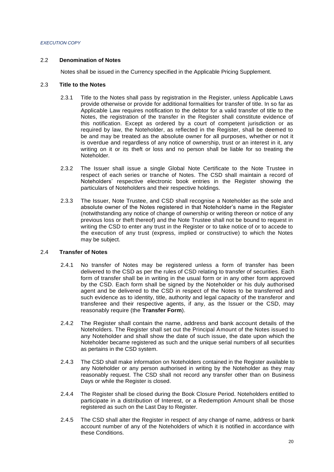### 2.2 **Denomination of Notes**

Notes shall be issued in the Currency specified in the Applicable Pricing Supplement.

#### 2.3 **Title to the Notes**

- 2.3.1 Title to the Notes shall pass by registration in the Register, unless Applicable Laws provide otherwise or provide for additional formalities for transfer of title. In so far as Applicable Law requires notification to the debtor for a valid transfer of title to the Notes, the registration of the transfer in the Register shall constitute evidence of this notification. Except as ordered by a court of competent jurisdiction or as required by law, the Noteholder, as reflected in the Register, shall be deemed to be and may be treated as the absolute owner for all purposes, whether or not it is overdue and regardless of any notice of ownership, trust or an interest in it, any writing on it or its theft or loss and no person shall be liable for so treating the Noteholder.
- 2.3.2 The Issuer shall issue a single Global Note Certificate to the Note Trustee in respect of each series or tranche of Notes. The CSD shall maintain a record of Noteholders' respective electronic book entries in the Register showing the particulars of Noteholders and their respective holdings.
- 2.3.3 The Issuer, Note Trustee, and CSD shall recognise a Noteholder as the sole and absolute owner of the Notes registered in that Noteholder's name in the Register (notwithstanding any notice of change of ownership or writing thereon or notice of any previous loss or theft thereof) and the Note Trustee shall not be bound to request in writing the CSD to enter any trust in the Register or to take notice of or to accede to the execution of any trust (express, implied or constructive) to which the Notes may be subject.

## 2.4 **Transfer of Notes**

- 2.4.1 No transfer of Notes may be registered unless a form of transfer has been delivered to the CSD as per the rules of CSD relating to transfer of securities. Each form of transfer shall be in writing in the usual form or in any other form approved by the CSD. Each form shall be signed by the Noteholder or his duly authorised agent and be delivered to the CSD in respect of the Notes to be transferred and such evidence as to identity, title, authority and legal capacity of the transferor and transferee and their respective agents, if any, as the Issuer or the CSD, may reasonably require (the **Transfer Form**).
- 2.4.2 The Register shall contain the name, address and bank account details of the Noteholders. The Register shall set out the Principal Amount of the Notes issued to any Noteholder and shall show the date of such issue, the date upon which the Noteholder became registered as such and the unique serial numbers of all securities as pertains in the CSD system.
- 2.4.3 The CSD shall make information on Noteholders contained in the Register available to any Noteholder or any person authorised in writing by the Noteholder as they may reasonably request. The CSD shall not record any transfer other than on Business Days or while the Register is closed.
- 2.4.4 The Register shall be closed during the Book Closure Period. Noteholders entitled to participate in a distribution of Interest, or a Redemption Amount shall be those registered as such on the Last Day to Register.
- 2.4.5 The CSD shall alter the Register in respect of any change of name, address or bank account number of any of the Noteholders of which it is notified in accordance with these Conditions.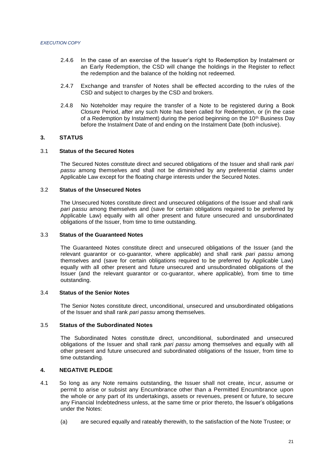- 2.4.6 In the case of an exercise of the Issuer's right to Redemption by Instalment or an Early Redemption, the CSD will change the holdings in the Register to reflect the redemption and the balance of the holding not redeemed.
- 2.4.7 Exchange and transfer of Notes shall be effected according to the rules of the CSD and subject to charges by the CSD and brokers.
- 2.4.8 No Noteholder may require the transfer of a Note to be registered during a Book Closure Period, after any such Note has been called for Redemption, or (in the case of a Redemption by Instalment) during the period beginning on the 10<sup>th</sup> Business Day before the Instalment Date of and ending on the Instalment Date (both inclusive).

## **3. STATUS**

### 3.1 **Status of the Secured Notes**

The Secured Notes constitute direct and secured obligations of the Issuer and shall rank *pari passu* among themselves and shall not be diminished by any preferential claims under Applicable Law except for the floating charge interests under the Secured Notes.

## 3.2 **Status of the Unsecured Notes**

The Unsecured Notes constitute direct and unsecured obligations of the Issuer and shall rank *pari passu* among themselves and (save for certain obligations required to be preferred by Applicable Law) equally with all other present and future unsecured and unsubordinated obligations of the Issuer, from time to time outstanding.

#### 3.3 **Status of the Guaranteed Notes**

The Guaranteed Notes constitute direct and unsecured obligations of the Issuer (and the relevant guarantor or co-guarantor, where applicable) and shall rank *pari passu* among themselves and (save for certain obligations required to be preferred by Applicable Law) equally with all other present and future unsecured and unsubordinated obligations of the Issuer (and the relevant guarantor or co-guarantor, where applicable), from time to time outstanding.

### 3.4 **Status of the Senior Notes**

The Senior Notes constitute direct, unconditional, unsecured and unsubordinated obligations of the Issuer and shall rank *pari passu* among themselves.

## 3.5 **Status of the Subordinated Notes**

The Subordinated Notes constitute direct, unconditional, subordinated and unsecured obligations of the Issuer and shall rank *pari passu* among themselves and equally with all other present and future unsecured and subordinated obligations of the Issuer, from time to time outstanding.

#### **4. NEGATIVE PLEDGE**

- 4.1 So long as any Note remains outstanding, the Issuer shall not create, incur, assume or permit to arise or subsist any Encumbrance other than a Permitted Encumbrance upon the whole or any part of its undertakings, assets or revenues, present or future, to secure any Financial Indebtedness unless, at the same time or prior thereto, the Issuer's obligations under the Notes:
	- (a) are secured equally and rateably therewith, to the satisfaction of the Note Trustee; or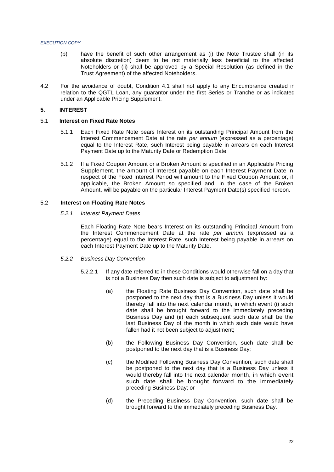- (b) have the benefit of such other arrangement as (i) the Note Trustee shall (in its absolute discretion) deem to be not materially less beneficial to the affected Noteholders or (ii) shall be approved by a Special Resolution (as defined in the Trust Agreement) of the affected Noteholders.
- 4.2 For the avoidance of doubt, Condition 4.1 shall not apply to any Encumbrance created in relation to the QGTL Loan, any guarantor under the first Series or Tranche or as indicated under an Applicable Pricing Supplement.

## **5. INTEREST**

## 5.1 **Interest on Fixed Rate Notes**

- 5.1.1 Each Fixed Rate Note bears Interest on its outstanding Principal Amount from the Interest Commencement Date at the rate *per annum* (expressed as a percentage) equal to the Interest Rate, such Interest being payable in arrears on each Interest Payment Date up to the Maturity Date or Redemption Date.
- 5.1.2 If a Fixed Coupon Amount or a Broken Amount is specified in an Applicable Pricing Supplement, the amount of Interest payable on each Interest Payment Date in respect of the Fixed Interest Period will amount to the Fixed Coupon Amount or, if applicable, the Broken Amount so specified and, in the case of the Broken Amount, will be payable on the particular Interest Payment Date(s) specified hereon.

#### 5.2 **Interest on Floating Rate Notes**

#### *5.2.1 Interest Payment Dates*

Each Floating Rate Note bears Interest on its outstanding Principal Amount from the Interest Commencement Date at the rate *per annum* (expressed as a percentage) equal to the Interest Rate, such Interest being payable in arrears on each Interest Payment Date up to the Maturity Date.

- *5.2.2 Business Day Convention*
	- 5.2.2.1 If any date referred to in these Conditions would otherwise fall on a day that is not a Business Day then such date is subject to adjustment by:
		- (a) the Floating Rate Business Day Convention, such date shall be postponed to the next day that is a Business Day unless it would thereby fall into the next calendar month, in which event (i) such date shall be brought forward to the immediately preceding Business Day and (ii) each subsequent such date shall be the last Business Day of the month in which such date would have fallen had it not been subject to adjustment;
		- (b) the Following Business Day Convention, such date shall be postponed to the next day that is a Business Day;
		- (c) the Modified Following Business Day Convention, such date shall be postponed to the next day that is a Business Day unless it would thereby fall into the next calendar month, in which event such date shall be brought forward to the immediately preceding Business Day; or
		- (d) the Preceding Business Day Convention, such date shall be brought forward to the immediately preceding Business Day.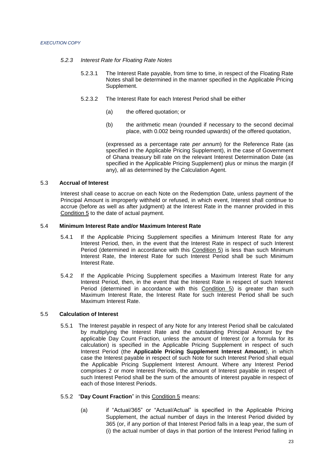#### *5.2.3 Interest Rate for Floating Rate Notes*

- 5.2.3.1 The Interest Rate payable, from time to time, in respect of the Floating Rate Notes shall be determined in the manner specified in the Applicable Pricing Supplement.
- 5.2.3.2 The Interest Rate for each Interest Period shall be either
	- (a) the offered quotation; or
	- (b) the arithmetic mean (rounded if necessary to the second decimal place, with 0.002 being rounded upwards) of the offered quotation,

(expressed as a percentage rate *per annum*) for the Reference Rate (as specified in the Applicable Pricing Supplement), in the case of Government of Ghana treasury bill rate on the relevant Interest Determination Date (as specified in the Applicable Pricing Supplement) plus or minus the margin (if any), all as determined by the Calculation Agent.

## 5.3 **Accrual of Interest**

Interest shall cease to accrue on each Note on the Redemption Date, unless payment of the Principal Amount is improperly withheld or refused, in which event, Interest shall continue to accrue (before as well as after judgment) at the Interest Rate in the manner provided in this Condition 5 to the date of actual payment.

## 5.4 **Minimum Interest Rate and/or Maximum Interest Rate**

- 5.4.1 If the Applicable Pricing Supplement specifies a Minimum Interest Rate for any Interest Period, then, in the event that the Interest Rate in respect of such Interest Period (determined in accordance with this Condition 5) is less than such Minimum Interest Rate, the Interest Rate for such Interest Period shall be such Minimum Interest Rate.
- 5.4.2 If the Applicable Pricing Supplement specifies a Maximum Interest Rate for any Interest Period, then, in the event that the Interest Rate in respect of such Interest Period (determined in accordance with this Condition 5) is greater than such Maximum Interest Rate, the Interest Rate for such Interest Period shall be such Maximum Interest Rate.

## 5.5 **Calculation of Interest**

- 5.5.1 The Interest payable in respect of any Note for any Interest Period shall be calculated by multiplying the Interest Rate and the outstanding Principal Amount by the applicable Day Count Fraction, unless the amount of Interest (or a formula for its calculation) is specified in the Applicable Pricing Supplement in respect of such Interest Period (the **Applicable Pricing Supplement Interest Amount**), in which case the Interest payable in respect of such Note for such Interest Period shall equal the Applicable Pricing Supplement Interest Amount. Where any Interest Period comprises 2 or more Interest Periods, the amount of Interest payable in respect of such Interest Period shall be the sum of the amounts of interest payable in respect of each of those Interest Periods.
- 5.5.2 "**Day Count Fraction**" in this Condition 5 means:
	- (a) if "Actual/365" or "Actual/Actual" is specified in the Applicable Pricing Supplement, the actual number of days in the Interest Period divided by 365 (or, if any portion of that Interest Period falls in a leap year, the sum of (i) the actual number of days in that portion of the Interest Period falling in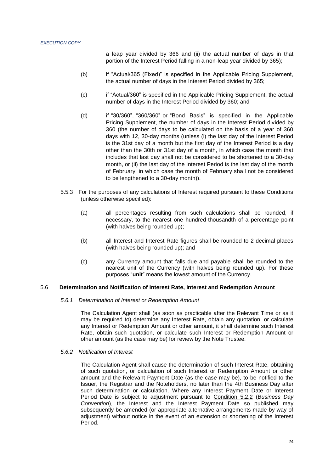a leap year divided by 366 and (ii) the actual number of days in that portion of the Interest Period falling in a non-leap year divided by 365);

- (b) if "Actual/365 (Fixed)" is specified in the Applicable Pricing Supplement, the actual number of days in the Interest Period divided by 365;
- (c) if "Actual/360" is specified in the Applicable Pricing Supplement, the actual number of days in the Interest Period divided by 360; and
- (d) if "30/360", "360/360" or "Bond Basis" is specified in the Applicable Pricing Supplement, the number of days in the Interest Period divided by 360 (the number of days to be calculated on the basis of a year of 360 days with 12, 30-day months (unless (i) the last day of the Interest Period is the 31st day of a month but the first day of the Interest Period is a day other than the 30th or 31st day of a month, in which case the month that includes that last day shall not be considered to be shortened to a 30-day month, or (ii) the last day of the Interest Period is the last day of the month of February, in which case the month of February shall not be considered to be lengthened to a 30-day month)).
- 5.5.3 For the purposes of any calculations of Interest required pursuant to these Conditions (unless otherwise specified):
	- (a) all percentages resulting from such calculations shall be rounded, if necessary, to the nearest one hundred-thousandth of a percentage point (with halves being rounded up);
	- (b) all Interest and Interest Rate figures shall be rounded to 2 decimal places (with halves being rounded up); and
	- (c) any Currency amount that falls due and payable shall be rounded to the nearest unit of the Currency (with halves being rounded up). For these purposes "**unit**" means the lowest amount of the Currency.

## 5.6 **Determination and Notification of Interest Rate, Interest and Redemption Amount**

#### *5.6.1 Determination of Interest or Redemption Amount*

The Calculation Agent shall (as soon as practicable after the Relevant Time or as it may be required to) determine any Interest Rate, obtain any quotation, or calculate any Interest or Redemption Amount or other amount, it shall determine such Interest Rate, obtain such quotation, or calculate such Interest or Redemption Amount or other amount (as the case may be) for review by the Note Trustee.

#### *5.6.2 Notification of Interest*

The Calculation Agent shall cause the determination of such Interest Rate, obtaining of such quotation, or calculation of such Interest or Redemption Amount or other amount and the Relevant Payment Date (as the case may be), to be notified to the Issuer, the Registrar and the Noteholders, no later than the 4th Business Day after such determination or calculation. Where any Interest Payment Date or Interest Period Date is subject to adjustment pursuant to Condition 5.2.2 (*Business Day Convention*), the Interest and the Interest Payment Date so published may subsequently be amended (or appropriate alternative arrangements made by way of adjustment) without notice in the event of an extension or shortening of the Interest Period.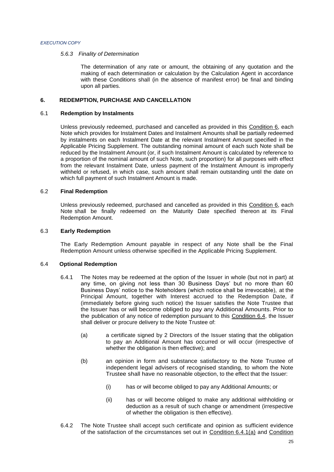#### *5.6.3 Finality of Determination*

The determination of any rate or amount, the obtaining of any quotation and the making of each determination or calculation by the Calculation Agent in accordance with these Conditions shall (in the absence of manifest error) be final and binding upon all parties.

## **6. REDEMPTION, PURCHASE AND CANCELLATION**

## 6.1 **Redemption by Instalments**

Unless previously redeemed, purchased and cancelled as provided in this Condition 6, each Note which provides for Instalment Dates and Instalment Amounts shall be partially redeemed by instalments on each Instalment Date at the relevant Instalment Amount specified in the Applicable Pricing Supplement. The outstanding nominal amount of each such Note shall be reduced by the Instalment Amount (or, if such Instalment Amount is calculated by reference to a proportion of the nominal amount of such Note, such proportion) for all purposes with effect from the relevant Instalment Date, unless payment of the Instalment Amount is improperly withheld or refused, in which case, such amount shall remain outstanding until the date on which full payment of such Instalment Amount is made.

#### 6.2 **Final Redemption**

Unless previously redeemed, purchased and cancelled as provided in this Condition 6, each Note shall be finally redeemed on the Maturity Date specified thereon at its Final Redemption Amount.

#### 6.3 **Early Redemption**

The Early Redemption Amount payable in respect of any Note shall be the Final Redemption Amount unless otherwise specified in the Applicable Pricing Supplement.

#### 6.4 **Optional Redemption**

- 6.4.1 The Notes may be redeemed at the option of the Issuer in whole (but not in part) at any time, on giving not less than 30 Business Days' but no more than 60 Business Days' notice to the Noteholders (which notice shall be irrevocable), at the Principal Amount, together with Interest accrued to the Redemption Date, if (immediately before giving such notice) the Issuer satisfies the Note Trustee that the Issuer has or will become obliged to pay any Additional Amounts. Prior to the publication of any notice of redemption pursuant to this Condition 6.4, the Issuer shall deliver or procure delivery to the Note Trustee of:
	- (a) a certificate signed by 2 Directors of the Issuer stating that the obligation to pay an Additional Amount has occurred or will occur (irrespective of whether the obligation is then effective); and
	- (b) an opinion in form and substance satisfactory to the Note Trustee of independent legal advisers of recognised standing, to whom the Note Trustee shall have no reasonable objection, to the effect that the Issuer:
		- (i) has or will become obliged to pay any Additional Amounts; or
		- (ii) has or will become obliged to make any additional withholding or deduction as a result of such change or amendment (irrespective of whether the obligation is then effective).
- 6.4.2 The Note Trustee shall accept such certificate and opinion as sufficient evidence of the satisfaction of the circumstances set out in Condition 6.4.1(a) and Condition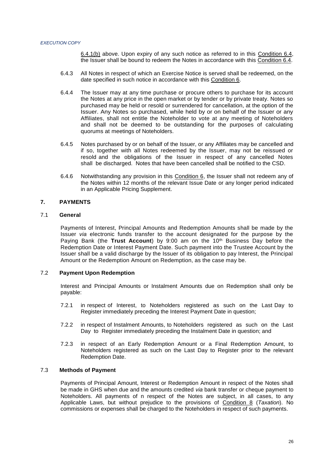6.4.1(b) above. Upon expiry of any such notice as referred to in this Condition 6.4, the Issuer shall be bound to redeem the Notes in accordance with this Condition 6.4.

- 6.4.3 All Notes in respect of which an Exercise Notice is served shall be redeemed, on the date specified in such notice in accordance with this Condition 6.
- 6.4.4 The Issuer may at any time purchase or procure others to purchase for its account the Notes at any price in the open market or by tender or by private treaty. Notes so purchased may be held or resold or surrendered for cancellation, at the option of the Issuer. Any Notes so purchased, while held by or on behalf of the Issuer or any Affiliates, shall not entitle the Noteholder to vote at any meeting of Noteholders and shall not be deemed to be outstanding for the purposes of calculating quorums at meetings of Noteholders.
- 6.4.5 Notes purchased by or on behalf of the Issuer, or any Affiliates may be cancelled and if so, together with all Notes redeemed by the Issuer, may not be reissued or resold and the obligations of the Issuer in respect of any cancelled Notes shall be discharged. Notes that have been cancelled shall be notified to the CSD.
- 6.4.6 Notwithstanding any provision in this Condition 6, the Issuer shall not redeem any of the Notes within 12 months of the relevant Issue Date or any longer period indicated in an Applicable Pricing Supplement.

## **7. PAYMENTS**

#### 7.1 **General**

Payments of Interest, Principal Amounts and Redemption Amounts shall be made by the Issuer *via* electronic funds transfer to the account designated for the purpose by the Paying Bank (the **Trust Account**) by 9:00 am on the 10<sup>th</sup> Business Day before the Redemption Date or Interest Payment Date. Such payment into the Trustee Account by the Issuer shall be a valid discharge by the Issuer of its obligation to pay Interest, the Principal Amount or the Redemption Amount on Redemption, as the case may be.

#### 7.2 **Payment Upon Redemption**

Interest and Principal Amounts or Instalment Amounts due on Redemption shall only be payable:

- 7.2.1 in respect of Interest, to Noteholders registered as such on the Last Day to Register immediately preceding the Interest Payment Date in question;
- 7.2.2 in respect of Instalment Amounts, to Noteholders registered as such on the Last Day to Register immediately preceding the Instalment Date in question; and
- 7.2.3 in respect of an Early Redemption Amount or a Final Redemption Amount, to Noteholders registered as such on the Last Day to Register prior to the relevant Redemption Date.

#### 7.3 **Methods of Payment**

Payments of Principal Amount, Interest or Redemption Amount in respect of the Notes shall be made in GHS when due and the amounts credited *via* bank transfer or cheque payment to Noteholders. All payments of n respect of the Notes are subject, in all cases, to any Applicable Laws, but without prejudice to the provisions of Condition 8 (*Taxation*). No commissions or expenses shall be charged to the Noteholders in respect of such payments.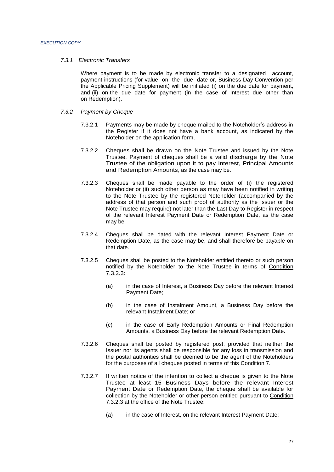#### *7.3.1 Electronic Transfers*

Where payment is to be made by electronic transfer to a designated account, payment instructions (for value on the due date or, Business Day Convention per the Applicable Pricing Supplement) will be initiated (i) on the due date for payment, and (ii) on the due date for payment (in the case of Interest due other than on Redemption).

#### *7.3.2 Payment by Cheque*

- 7.3.2.1 Payments may be made by cheque mailed to the Noteholder's address in the Register if it does not have a bank account, as indicated by the Noteholder on the application form.
- 7.3.2.2 Cheques shall be drawn on the Note Trustee and issued by the Note Trustee. Payment of cheques shall be a valid discharge by the Note Trustee of the obligation upon it to pay Interest, Principal Amounts and Redemption Amounts, as the case may be.
- 7.3.2.3 Cheques shall be made payable to the order of (i) the registered Noteholder or (ii) such other person as may have been notified in writing to the Note Trustee by the registered Noteholder (accompanied by the address of that person and such proof of authority as the Issuer or the Note Trustee may require) not later than the Last Day to Register in respect of the relevant Interest Payment Date or Redemption Date, as the case may be.
- 7.3.2.4 Cheques shall be dated with the relevant Interest Payment Date or Redemption Date, as the case may be, and shall therefore be payable on that date.
- 7.3.2.5 Cheques shall be posted to the Noteholder entitled thereto or such person notified by the Noteholder to the Note Trustee in terms of Condition 7.3.2.3:
	- (a) in the case of Interest, a Business Day before the relevant Interest Payment Date;
	- (b) in the case of Instalment Amount, a Business Day before the relevant Instalment Date; or
	- (c) in the case of Early Redemption Amounts or Final Redemption Amounts, a Business Day before the relevant Redemption Date.
- 7.3.2.6 Cheques shall be posted by registered post, provided that neither the Issuer nor its agents shall be responsible for any loss in transmission and the postal authorities shall be deemed to be the agent of the Noteholders for the purposes of all cheques posted in terms of this Condition 7.
- 7.3.2.7 If written notice of the intention to collect a cheque is given to the Note Trustee at least 15 Business Days before the relevant Interest Payment Date or Redemption Date, the cheque shall be available for collection by the Noteholder or other person entitled pursuant to Condition 7.3.2.3 at the office of the Note Trustee:
	- (a) in the case of Interest, on the relevant Interest Payment Date;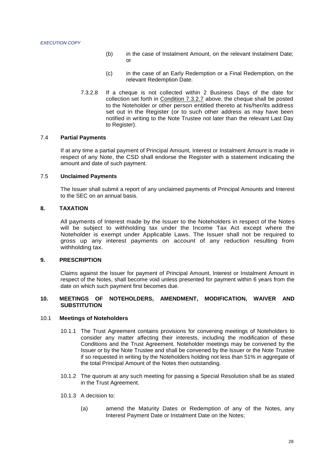- (b) in the case of Instalment Amount, on the relevant Instalment Date; or
- (c) in the case of an Early Redemption or a Final Redemption, on the relevant Redemption Date.
- 7.3.2.8 If a cheque is not collected within 2 Business Days of the date for collection set forth in Condition 7.3.2.7 above, the cheque shall be posted to the Noteholder or other person entitled thereto at his/her/its address set out in the Register (or to such other address as may have been notified in writing to the Note Trustee not later than the relevant Last Day to Register).

## 7.4 **Partial Payments**

If at any time a partial payment of Principal Amount, Interest or Instalment Amount is made in respect of any Note, the CSD shall endorse the Register with a statement indicating the amount and date of such payment.

#### 7.5 **Unclaimed Payments**

The Issuer shall submit a report of any unclaimed payments of Principal Amounts and Interest to the SEC on an annual basis.

## **8. TAXATION**

All payments of Interest made by the Issuer to the Noteholders in respect of the Notes will be subject to withholding tax under the Income Tax Act except where the Noteholder is exempt under Applicable Laws. The Issuer shall not be required to gross up any interest payments on account of any reduction resulting from withholding tax.

## **9. PRESCRIPTION**

Claims against the Issuer for payment of Principal Amount, Interest or Instalment Amount in respect of the Notes, shall become void unless presented for payment within 6 years from the date on which such payment first becomes due.

## **10. MEETINGS OF NOTEHOLDERS, AMENDMENT, MODIFICATION, WAIVER AND SUBSTITUTION**

#### 10.1 **Meetings of Noteholders**

- 10.1.1 The Trust Agreement contains provisions for convening meetings of Noteholders to consider any matter affecting their interests, including the modification of these Conditions and the Trust Agreement. Noteholder meetings may be convened by the Issuer or by the Note Trustee and shall be convened by the Issuer or the Note Trustee if so requested in writing by the Noteholders holding not less than 51% in aggregate of the total Principal Amount of the Notes then outstanding.
- 10.1.2 The quorum at any such meeting for passing a Special Resolution shall be as stated in the Trust Agreement.
- 10.1.3 A decision to:
	- (a) amend the Maturity Dates or Redemption of any of the Notes, any Interest Payment Date or Instalment Date on the Notes;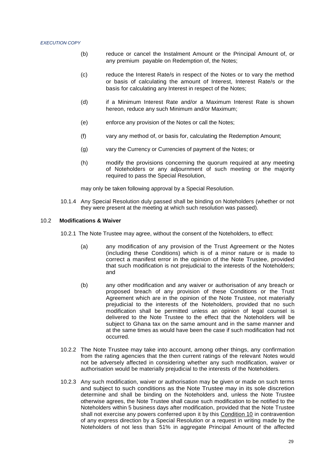- (b) reduce or cancel the Instalment Amount or the Principal Amount of, or any premium payable on Redemption of, the Notes;
- (c) reduce the Interest Rate/s in respect of the Notes or to vary the method or basis of calculating the amount of Interest, Interest Rate/s or the basis for calculating any Interest in respect of the Notes;
- (d) if a Minimum Interest Rate and/or a Maximum Interest Rate is shown hereon, reduce any such Minimum and/or Maximum;
- (e) enforce any provision of the Notes or call the Notes;
- (f) vary any method of, or basis for, calculating the Redemption Amount;
- (g) vary the Currency or Currencies of payment of the Notes; or
- (h) modify the provisions concerning the quorum required at any meeting of Noteholders or any adjournment of such meeting or the majority required to pass the Special Resolution,

may only be taken following approval by a Special Resolution.

10.1.4 Any Special Resolution duly passed shall be binding on Noteholders (whether or not they were present at the meeting at which such resolution was passed).

#### 10.2 **Modifications & Waiver**

10.2.1 The Note Trustee may agree, without the consent of the Noteholders, to effect:

- (a) any modification of any provision of the Trust Agreement or the Notes (including these Conditions) which is of a minor nature or is made to correct a manifest error in the opinion of the Note Trustee, provided that such modification is not prejudicial to the interests of the Noteholders; and
- (b) any other modification and any waiver or authorisation of any breach or proposed breach of any provision of these Conditions or the Trust Agreement which are in the opinion of the Note Trustee, not materially prejudicial to the interests of the Noteholders, provided that no such modification shall be permitted unless an opinion of legal counsel is delivered to the Note Trustee to the effect that the Noteholders will be subject to Ghana tax on the same amount and in the same manner and at the same times as would have been the case if such modification had not occurred.
- 10.2.2 The Note Trustee may take into account, among other things, any confirmation from the rating agencies that the then current ratings of the relevant Notes would not be adversely affected in considering whether any such modification, waiver or authorisation would be materially prejudicial to the interests of the Noteholders.
- 10.2.3 Any such modification, waiver or authorisation may be given or made on such terms and subject to such conditions as the Note Trustee may in its sole discretion determine and shall be binding on the Noteholders and, unless the Note Trustee otherwise agrees, the Note Trustee shall cause such modification to be notified to the Noteholders within 5 business days after modification, provided that the Note Trustee shall not exercise any powers conferred upon it by this Condition 10 in contravention of any express direction by a Special Resolution or a request in writing made by the Noteholders of not less than 51% in aggregate Principal Amount of the affected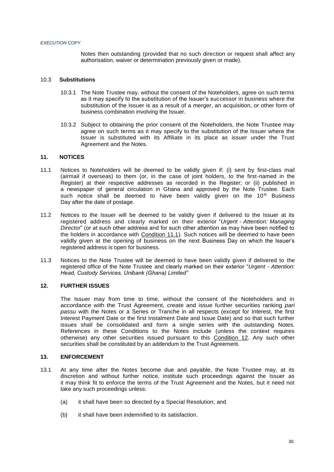Notes then outstanding (provided that no such direction or request shall affect any authorisation, waiver or determination previously given or made).

## 10.3 **Substitutions**

- 10.3.1 The Note Trustee may, without the consent of the Noteholders, agree on such terms as it may specify to the substitution of the Issuer's successor in business where the substitution of the Issuer is as a result of a merger, an acquisition, or other form of business combination involving the Issuer.
- 10.3.2 Subject to obtaining the prior consent of the Noteholders, the Note Trustee may agree on such terms as it may specify to the substitution of the Issuer where the Issuer is substituted with its Affiliate in its place as issuer under the Trust Agreement and the Notes.

## **11. NOTICES**

- 11.1 Notices to Noteholders will be deemed to be validly given if: (i) sent by first-class mail (airmail if overseas) to them (or, in the case of joint holders, to the first-named in the Register) at their respective addresses as recorded in the Register; or (ii) published in a newspaper of general circulation in Ghana and approved by the Note Trustee. Each such notice shall be deemed to have been validly given on the 10<sup>th</sup> Business Day after the date of postage.
- 11.2 Notices to the Issuer will be deemed to be validly given if delivered to the Issuer at its registered address and clearly marked on their exterior "*Urgent - Attention: Managing Director*" (or at such other address and for such other attention as may have been notified to the holders in accordance with Condition 11.1). Such notices will be deemed to have been validly given at the opening of business on the next Business Day on which the Issuer's registered address is open for business.
- 11.3 Notices to the Note Trustee will be deemed to have been validly given if delivered to the registered office of the Note Trustee and clearly marked on their exterior "*Urgent - Attention: Head, Custody Services, Unibank (Ghana) Limited"*

## **12. FURTHER ISSUES**

The Issuer may from time to time, without the consent of the Noteholders and in accordance with the Trust Agreement, create and issue further securities ranking *pari passu* with the Notes or a Series or Tranche in all respects (except for Interest, the first Interest Payment Date or the first Instalment Date and Issue Date) and so that such further issues shall be consolidated and form a single series with the outstanding Notes. References in these Conditions to the Notes include (unless the context requires otherwise) any other securities issued pursuant to this Condition 12. Any such other securities shall be constituted by an addendum to the Trust Agreement.

#### **13. ENFORCEMENT**

- 13.1 At any time after the Notes become due and payable, the Note Trustee may, at its discretion and without further notice, institute such proceedings against the Issuer as it may think fit to enforce the terms of the Trust Agreement and the Notes, but it need not take any such proceedings unless:
	- (a) it shall have been so directed by a Special Resolution; and
	- (b) it shall have been indemnified to its satisfaction.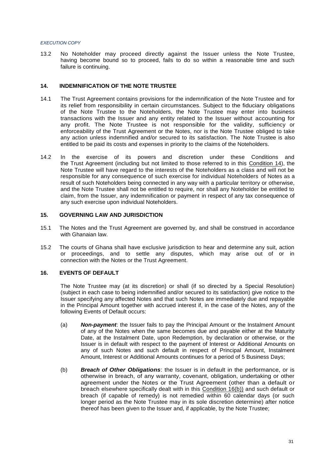13.2 No Noteholder may proceed directly against the Issuer unless the Note Trustee, having become bound so to proceed, fails to do so within a reasonable time and such failure is continuing.

## **14. INDEMNIFICATION OF THE NOTE TRUSTEE**

- 14.1 The Trust Agreement contains provisions for the indemnification of the Note Trustee and for its relief from responsibility in certain circumstances. Subject to the fiduciary obligations of the Note Trustee to the Noteholders, the Note Trustee may enter into business transactions with the Issuer and any entity related to the Issuer without accounting for any profit. The Note Trustee is not responsible for the validity, sufficiency or enforceability of the Trust Agreement or the Notes, nor is the Note Trustee obliged to take any action unless indemnified and/or secured to its satisfaction. The Note Trustee is also entitled to be paid its costs and expenses in priority to the claims of the Noteholders.
- 14.2 In the exercise of its powers and discretion under these Conditions and the Trust Agreement (including but not limited to those referred to in this Condition 14), the Note Trustee will have regard to the interests of the Noteholders as a class and will not be responsible for any consequence of such exercise for individual Noteholders of Notes as a result of such Noteholders being connected in any way with a particular territory or otherwise, and the Note Trustee shall not be entitled to require, nor shall any Noteholder be entitled to claim, from the Issuer, any indemnification or payment in respect of any tax consequence of any such exercise upon individual Noteholders.

#### **15. GOVERNING LAW AND JURISDICTION**

- 15.1 The Notes and the Trust Agreement are governed by, and shall be construed in accordance with Ghanaian law.
- 15.2 The courts of Ghana shall have exclusive jurisdiction to hear and determine any suit, action or proceedings, and to settle any disputes, which may arise out of or in connection with the Notes or the Trust Agreement.

## **16. EVENTS OF DEFAULT**

The Note Trustee may (at its discretion) or shall (if so directed by a Special Resolution) (subject in each case to being indemnified and/or secured to its satisfaction) give notice to the Issuer specifying any affected Notes and that such Notes are immediately due and repayable in the Principal Amount together with accrued interest if, in the case of the Notes, any of the following Events of Default occurs:

- (a) *Non-payment*: the Issuer fails to pay the Principal Amount or the Instalment Amount of any of the Notes when the same becomes due and payable either at the Maturity Date, at the Instalment Date, upon Redemption, by declaration or otherwise, or the Issuer is in default with respect to the payment of Interest or Additional Amounts on any of such Notes and such default in respect of Principal Amount, Instalment Amount, Interest or Additional Amounts continues for a period of 5 Business Days;
- (b) *Breach of Other Obligations*: the Issuer is in default in the performance, or is otherwise in breach, of any warranty, covenant, obligation, undertaking or other agreement under the Notes or the Trust Agreement (other than a default or breach elsewhere specifically dealt with in this Condition 16(b)) and such default or breach (if capable of remedy) is not remedied within 60 calendar days (or such longer period as the Note Trustee may in its sole discretion determine) after notice thereof has been given to the Issuer and, if applicable, by the Note Trustee;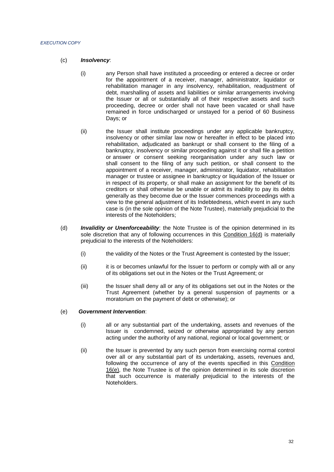- (c) *Insolvency*:
	- (i) any Person shall have instituted a proceeding or entered a decree or order for the appointment of a receiver, manager, administrator, liquidator or rehabilitation manager in any insolvency, rehabilitation, readjustment of debt, marshalling of assets and liabilities or similar arrangements involving the Issuer or all or substantially all of their respective assets and such proceeding, decree or order shall not have been vacated or shall have remained in force undischarged or unstayed for a period of 60 Business Days; or
	- (ii) the Issuer shall institute proceedings under any applicable bankruptcy, insolvency or other similar law now or hereafter in effect to be placed into rehabilitation, adjudicated as bankrupt or shall consent to the filing of a bankruptcy, insolvency or similar proceeding against it or shall file a petition or answer or consent seeking reorganisation under any such law or shall consent to the filing of any such petition, or shall consent to the appointment of a receiver, manager, administrator, liquidator, rehabilitation manager or trustee or assignee in bankruptcy or liquidation of the Issuer or in respect of its property, or shall make an assignment for the benefit of its creditors or shall otherwise be unable or admit its inability to pay its debts generally as they become due or the Issuer commences proceedings with a view to the general adjustment of its Indebtedness, which event in any such case is (in the sole opinion of the Note Trustee), materially prejudicial to the interests of the Noteholders;
- (d) *Invalidity or Unenforceability*: the Note Trustee is of the opinion determined in its sole discretion that any of following occurrences in this Condition 16(d) is materially prejudicial to the interests of the Noteholders:
	- (i) the validity of the Notes or the Trust Agreement is contested by the Issuer;
	- (ii) it is or becomes unlawful for the Issuer to perform or comply with all or any of its obligations set out in the Notes or the Trust Agreement; or
	- (iii) the Issuer shall deny all or any of its obligations set out in the Notes or the Trust Agreement (whether by a general suspension of payments or a moratorium on the payment of debt or otherwise); or

#### (e) *Government Intervention*:

- (i) all or any substantial part of the undertaking, assets and revenues of the Issuer is condemned, seized or otherwise appropriated by any person acting under the authority of any national, regional or local government; or
- (ii) the Issuer is prevented by any such person from exercising normal control over all or any substantial part of its undertaking, assets, revenues and, following the occurrence of any of the events specified in this Condition 16(e), the Note Trustee is of the opinion determined in its sole discretion that such occurrence is materially prejudicial to the interests of the Noteholders.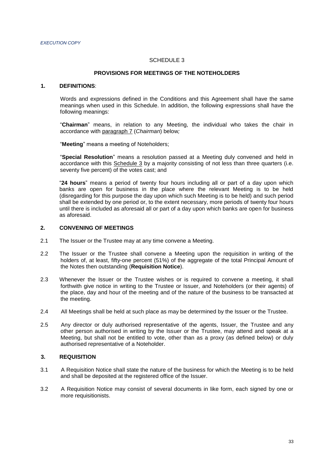#### SCHEDULE 3

## **PROVISIONS FOR MEETINGS OF THE NOTEHOLDERS**

#### **1. DEFINITIONS**:

Words and expressions defined in the Conditions and this Agreement shall have the same meanings when used in this Schedule. In addition, the following expressions shall have the following meanings:

"**Chairman**" means, in relation to any Meeting, the individual who takes the chair in accordance with paragraph 7 (*Chairman*) below*;*

"**Meeting**" means a meeting of Noteholders;

"**Special Resolution**" means a resolution passed at a Meeting duly convened and held in accordance with this Schedule 3 by a majority consisting of not less than three quarters (i.e. seventy five percent) of the votes cast; and

"**24 hours**" means a period of twenty four hours including all or part of a day upon which banks are open for business in the place where the relevant Meeting is to be held (disregarding for this purpose the day upon which such Meeting is to be held) and such period shall be extended by one period or, to the extent necessary, more periods of twenty four hours until there is included as aforesaid all or part of a day upon which banks are open for business as aforesaid.

## **2. CONVENING OF MEETINGS**

- 2.1 The Issuer or the Trustee may at any time convene a Meeting.
- 2.2 The Issuer or the Trustee shall convene a Meeting upon the requisition in writing of the holders of, at least, fifty-one percent (51%) of the aggregate of the total Principal Amount of the Notes then outstanding (**Requisition Notice**).
- 2.3 Whenever the Issuer or the Trustee wishes or is required to convene a meeting, it shall forthwith give notice in writing to the Trustee or Issuer, and Noteholders (or their agents) of the place, day and hour of the meeting and of the nature of the business to be transacted at the meeting.
- 2.4 All Meetings shall be held at such place as may be determined by the Issuer or the Trustee.
- 2.5 Any director or duly authorised representative of the agents, Issuer, the Trustee and any other person authorised in writing by the Issuer or the Trustee, may attend and speak at a Meeting, but shall not be entitled to vote, other than as a proxy (as defined below) or duly authorised representative of a Noteholder.

### **3. REQUISITION**

- 3.1 A Requisition Notice shall state the nature of the business for which the Meeting is to be held and shall be deposited at the registered office of the Issuer.
- 3.2 A Requisition Notice may consist of several documents in like form, each signed by one or more requisitionists.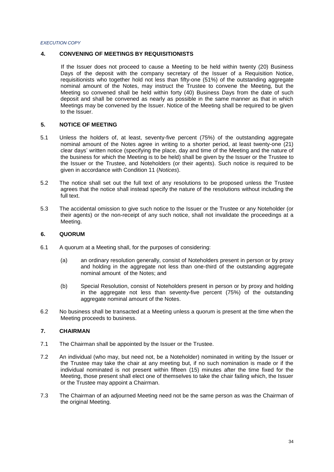## **4. CONVENING OF MEETINGS BY REQUISITIONISTS**

If the Issuer does not proceed to cause a Meeting to be held within twenty (20) Business Days of the deposit with the company secretary of the Issuer of a Requisition Notice, requisitionists who together hold not less than fifty-one (51%) of the outstanding aggregate nominal amount of the Notes, may instruct the Trustee to convene the Meeting, but the Meeting so convened shall be held within forty (40) Business Days from the date of such deposit and shall be convened as nearly as possible in the same manner as that in which Meetings may be convened by the Issuer. Notice of the Meeting shall be required to be given to the Issuer.

## **5. NOTICE OF MEETING**

- 5.1 Unless the holders of, at least, seventy-five percent (75%) of the outstanding aggregate nominal amount of the Notes agree in writing to a shorter period, at least twenty-one (21) clear days' written notice (specifying the place, day and time of the Meeting and the nature of the business for which the Meeting is to be held) shall be given by the Issuer or the Trustee to the Issuer or the Trustee, and Noteholders (or their agents). Such notice is required to be given in accordance with Condition 11 (*Notices*).
- 5.2 The notice shall set out the full text of any resolutions to be proposed unless the Trustee agrees that the notice shall instead specify the nature of the resolutions without including the full text.
- 5.3 The accidental omission to give such notice to the Issuer or the Trustee or any Noteholder (or their agents) or the non-receipt of any such notice, shall not invalidate the proceedings at a Meeting.

## **6. QUORUM**

- 6.1 A quorum at a Meeting shall, for the purposes of considering:
	- (a) an ordinary resolution generally, consist of Noteholders present in person or by proxy and holding in the aggregate not less than one-third of the outstanding aggregate nominal amount of the Notes; and
	- (b) Special Resolution, consist of Noteholders present in person or by proxy and holding in the aggregate not less than seventy-five percent (75%) of the outstanding aggregate nominal amount of the Notes.
- 6.2 No business shall be transacted at a Meeting unless a quorum is present at the time when the Meeting proceeds to business.

## **7. CHAIRMAN**

- 7.1 The Chairman shall be appointed by the Issuer or the Trustee.
- 7.2 An individual (who may, but need not, be a Noteholder) nominated in writing by the Issuer or the Trustee may take the chair at any meeting but, if no such nomination is made or if the individual nominated is not present within fifteen (15) minutes after the time fixed for the Meeting, those present shall elect one of themselves to take the chair failing which, the Issuer or the Trustee may appoint a Chairman.
- 7.3 The Chairman of an adjourned Meeting need not be the same person as was the Chairman of the original Meeting.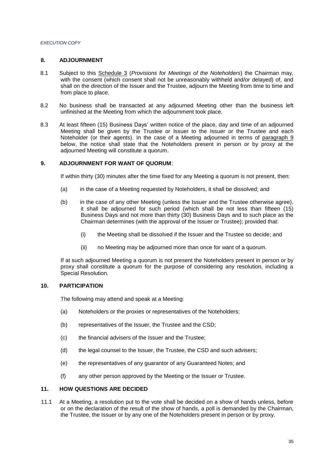### **8. ADJOURNMENT**

- 8.1 Subject to this Schedule 3 (*Provisions for Meetings of the Noteholders*) the Chairman may, with the consent (which consent shall not be unreasonably withheld and/or delayed) of, and shall on the direction of the Issuer and the Trustee, adjourn the Meeting from time to time and from place to place.
- 8.2 No business shall be transacted at any adjourned Meeting other than the business left unfinished at the Meeting from which the adjournment took place.
- 8.3 At least fifteen (15) Business Days' written notice of the place, day and time of an adjourned Meeting shall be given by the Trustee or Issuer to the Issuer or the Trustee and each Noteholder (or their agents). In the case of a Meeting adjourned in terms of paragraph 9 below, the notice shall state that the Noteholders present in person or by proxy at the adjourned Meeting will constitute a quorum.

## **9. ADJOURNMENT FOR WANT OF QUORUM**:

If within thirty (30) minutes after the time fixed for any Meeting a quorum is not present, then:

- (a) in the case of a Meeting requested by Noteholders, it shall be dissolved; and
- (b) in the case of any other Meeting (unless the Issuer and the Trustee otherwise agree), it shall be adjourned for such period (which shall be not less than fifteen (15) Business Days and not more than thirty (30) Business Days and to such place as the Chairman determines (with the approval of the Issuer or Trustee); provided that:
	- (i) the Meeting shall be dissolved if the Issuer and the Trustee so decide; and
	- (ii) no Meeting may be adjourned more than once for want of a quorum.

If at such adjourned Meeting a quorum is not present the Noteholders present in person or by proxy shall constitute a quorum for the purpose of considering any resolution, including a Special Resolution.

## **10. PARTICIPATION**

The following may attend and speak at a Meeting:

- (a) Noteholders or the proxies or representatives of the Noteholders;
- (b) representatives of the Issuer, the Trustee and the CSD;
- (c) the financial advisers of the Issuer and the Trustee;
- (d) the legal counsel to the Issuer, the Trustee, the CSD and such advisers;
- (e) the representatives of any guarantor of any Guaranteed Notes; and
- (f) any other person approved by the Meeting or the Issuer or Trustee.

## **11. HOW QUESTIONS ARE DECIDED**

11.1 At a Meeting, a resolution put to the vote shall be decided on a show of hands unless, before or on the declaration of the result of the show of hands, a poll is demanded by the Chairman, the Trustee, the Issuer or by any one of the Noteholders present in person or by proxy.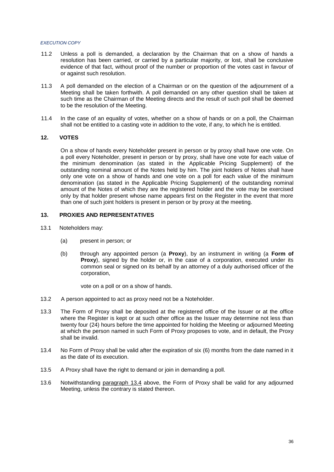- 11.2 Unless a poll is demanded, a declaration by the Chairman that on a show of hands a resolution has been carried, or carried by a particular majority, or lost, shall be conclusive evidence of that fact, without proof of the number or proportion of the votes cast in favour of or against such resolution.
- 11.3 A poll demanded on the election of a Chairman or on the question of the adjournment of a Meeting shall be taken forthwith. A poll demanded on any other question shall be taken at such time as the Chairman of the Meeting directs and the result of such poll shall be deemed to be the resolution of the Meeting.
- 11.4 In the case of an equality of votes, whether on a show of hands or on a poll, the Chairman shall not be entitled to a casting vote in addition to the vote, if any, to which he is entitled.

### **12. VOTES**

On a show of hands every Noteholder present in person or by proxy shall have one vote. On a poll every Noteholder, present in person or by proxy, shall have one vote for each value of the minimum denomination (as stated in the Applicable Pricing Supplement) of the outstanding nominal amount of the Notes held by him. The joint holders of Notes shall have only one vote on a show of hands and one vote on a poll for each value of the minimum denomination (as stated in the Applicable Pricing Supplement) of the outstanding nominal amount of the Notes of which they are the registered holder and the vote may be exercised only by that holder present whose name appears first on the Register in the event that more than one of such joint holders is present in person or by proxy at the meeting.

#### **13. PROXIES AND REPRESENTATIVES**

- 13.1 Noteholders may:
	- (a) present in person; or
	- (b) through any appointed person (a **Proxy**), by an instrument in writing (a **Form of Proxy**), signed by the holder or, in the case of a corporation, executed under its common seal or signed on its behalf by an attorney of a duly authorised officer of the corporation,

vote on a poll or on a show of hands.

- 13.2 A person appointed to act as proxy need not be a Noteholder.
- 13.3 The Form of Proxy shall be deposited at the registered office of the Issuer or at the office where the Register is kept or at such other office as the Issuer may determine not less than twenty four (24) hours before the time appointed for holding the Meeting or adjourned Meeting at which the person named in such Form of Proxy proposes to vote, and in default, the Proxy shall be invalid.
- 13.4 No Form of Proxy shall be valid after the expiration of six (6) months from the date named in it as the date of its execution.
- 13.5 A Proxy shall have the right to demand or join in demanding a poll.
- 13.6 Notwithstanding paragraph 13.4 above, the Form of Proxy shall be valid for any adjourned Meeting, unless the contrary is stated thereon.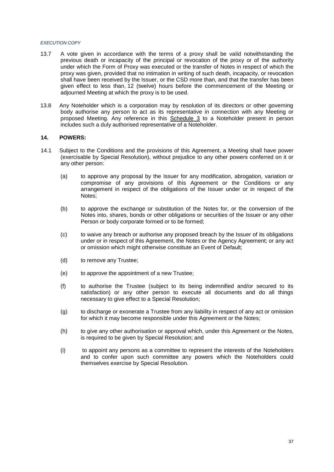- 13.7 A vote given in accordance with the terms of a proxy shall be valid notwithstanding the previous death or incapacity of the principal or revocation of the proxy or of the authority under which the Form of Proxy was executed or the transfer of Notes in respect of which the proxy was given, provided that no intimation in writing of such death, incapacity, or revocation shall have been received by the Issuer, or the CSD more than, and that the transfer has been given effect to less than, 12 (twelve) hours before the commencement of the Meeting or adjourned Meeting at which the proxy is to be used.
- 13.8 Any Noteholder which is a corporation may by resolution of its directors or other governing body authorise any person to act as its representative in connection with any Meeting or proposed Meeting. Any reference in this Schedule 3 to a Noteholder present in person includes such a duly authorised representative of a Noteholder.

#### **14. POWERS:**

- 14.1 Subject to the Conditions and the provisions of this Agreement, a Meeting shall have power (exercisable by Special Resolution), without prejudice to any other powers conferred on it or any other person:
	- (a) to approve any proposal by the Issuer for any modification, abrogation, variation or compromise of any provisions of this Agreement or the Conditions or any arrangement in respect of the obligations of the Issuer under or in respect of the Notes;
	- (b) to approve the exchange or substitution of the Notes for, or the conversion of the Notes into, shares, bonds or other obligations or securities of the Issuer or any other Person or body corporate formed or to be formed;
	- (c) to waive any breach or authorise any proposed breach by the Issuer of its obligations under or in respect of this Agreement, the Notes or the Agency Agreement; or any act or omission which might otherwise constitute an Event of Default;
	- (d) to remove any Trustee;
	- (e) to approve the appointment of a new Trustee;
	- (f) to authorise the Trustee (subject to its being indemnified and/or secured to its satisfaction) or any other person to execute all documents and do all things necessary to give effect to a Special Resolution;
	- (g) to discharge or exonerate a Trustee from any liability in respect of any act or omission for which it may become responsible under this Agreement or the Notes;
	- (h) to give any other authorisation or approval which, under this Agreement or the Notes, is required to be given by Special Resolution; and
	- (i) to appoint any persons as a committee to represent the interests of the Noteholders and to confer upon such committee any powers which the Noteholders could themselves exercise by Special Resolution.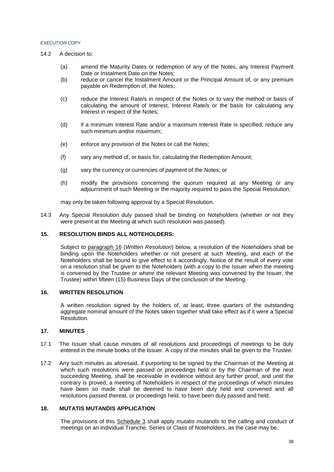- 14.2 A decision to:
	- (a) amend the Maturity Dates or redemption of any of the Notes, any Interest Payment Date or Instalment Date on the Notes;
	- (b) reduce or cancel the Instalment Amount or the Principal Amount of, or any premium payable on Redemption of, the Notes;
	- (c) reduce the Interest Rate/s in respect of the Notes or to vary the method or basis of calculating the amount of Interest, Interest Rate/s or the basis for calculating any Interest in respect of the Notes;
	- (d) if a minimum Interest Rate and/or a maximum Interest Rate is specified, reduce any such minimum and/or maximum;
	- (e) enforce any provision of the Notes or call the Notes;
	- (f) vary any method of, or basis for, calculating the Redemption Amount;
	- (g) vary the currency or currencies of payment of the Notes; or
	- (h) modify the provisions concerning the quorum required at any Meeting or any adjournment of such Meeting or the majority required to pass the Special Resolution,

may only be taken following approval by a Special Resolution.

14.3 Any Special Resolution duly passed shall be binding on Noteholders (whether or not they were present at the Meeting at which such resolution was passed).

#### **15. RESOLUTION BINDS ALL NOTEHOLDERS:**

Subject to paragraph 16 (*Written Resolution*) below, a resolution of the Noteholders shall be binding upon the Noteholders whether or not present at such Meeting, and each of the Noteholders shall be bound to give effect to it accordingly. Notice of the result of every vote on a resolution shall be given to the Noteholders (with a copy to the Issuer when the meeting is convened by the Trustee or where the relevant Meeting was convened by the Issuer, the Trustee) within fifteen (15) Business Days of the conclusion of the Meeting.

#### **16. WRITTEN RESOLUTION**

A written resolution signed by the holders of, at least, three quarters of the outstanding aggregate nominal amount of the Notes taken together shall take effect as if it were a Special Resolution.

### **17. MINUTES**

- 17.1 The Issuer shall cause minutes of all resolutions and proceedings of meetings to be duly entered in the minute books of the Issuer. A copy of the minutes shall be given to the Trustee.
- 17.2 Any such minutes as aforesaid, if purporting to be signed by the Chairman of the Meeting at which such resolutions were passed or proceedings held or by the Chairman of the next succeeding Meeting, shall be receivable in evidence without any further proof, and until the contrary is proved, a meeting of Noteholders in respect of the proceedings of which minutes have been so made shall be deemed to have been duly held and convened and all resolutions passed thereat, or proceedings held, to have been duly passed and held.

## **18. MUTATIS MUTANDIS APPLICATION**

The provisions of this Schedule 3 shall apply *mutatis mutandis* to the calling and conduct of meetings on an individual Tranche, Series or Class of Noteholders, as the case may be.